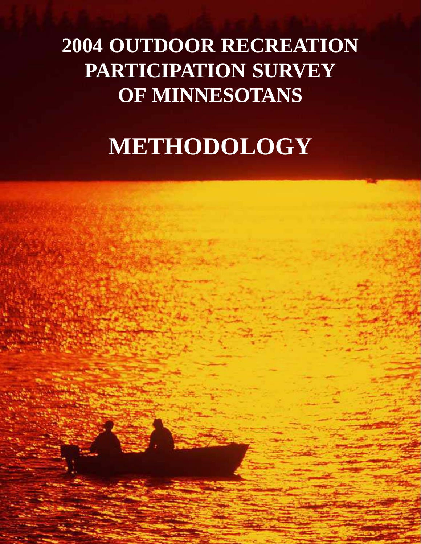# **2004 OUTDOOR RECREATION PARTICIPATION SURVEY OF MINNESOTANS**

# **METHODOLOGY**

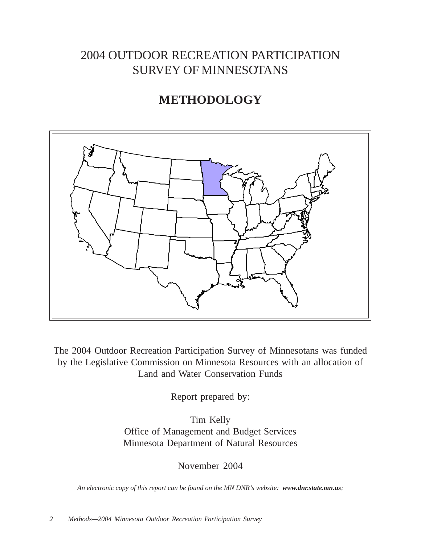# 2004 OUTDOOR RECREATION PARTICIPATION SURVEY OF MINNESOTANS

# **METHODOLOGY**



The 2004 Outdoor Recreation Participation Survey of Minnesotans was funded by the Legislative Commission on Minnesota Resources with an allocation of Land and Water Conservation Funds

Report prepared by:

Tim Kelly Office of Management and Budget Services Minnesota Department of Natural Resources

November 2004

*An electronic copy of this report can be found on the MN DNR's website: www.dnr.state.mn.us;*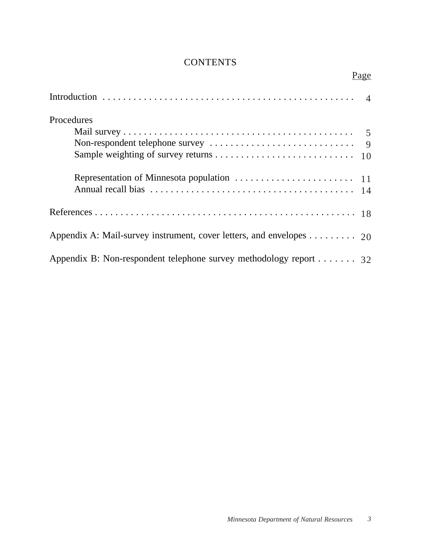# **CONTENTS**

|                                                                                         | Page |
|-----------------------------------------------------------------------------------------|------|
|                                                                                         |      |
| Procedures                                                                              |      |
|                                                                                         |      |
|                                                                                         |      |
|                                                                                         |      |
|                                                                                         |      |
|                                                                                         |      |
| Appendix A: Mail-survey instrument, cover letters, and envelopes $\dots \dots \dots$ 20 |      |
| Appendix B: Non-respondent telephone survey methodology report $\dots \dots$ 32         |      |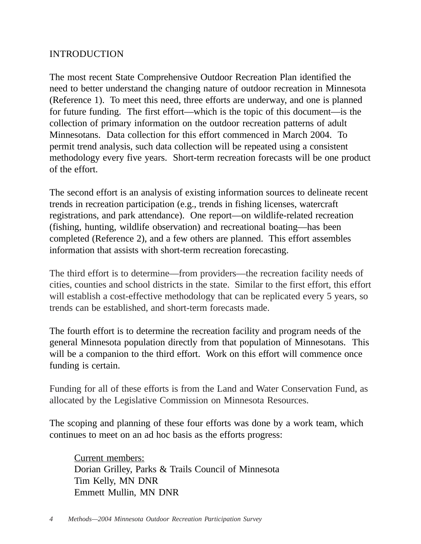# INTRODUCTION

The most recent State Comprehensive Outdoor Recreation Plan identified the need to better understand the changing nature of outdoor recreation in Minnesota (Reference 1). To meet this need, three efforts are underway, and one is planned for future funding. The first effort—which is the topic of this document—is the collection of primary information on the outdoor recreation patterns of adult Minnesotans. Data collection for this effort commenced in March 2004. To permit trend analysis, such data collection will be repeated using a consistent methodology every five years. Short-term recreation forecasts will be one product of the effort.

The second effort is an analysis of existing information sources to delineate recent trends in recreation participation (e.g., trends in fishing licenses, watercraft registrations, and park attendance). One report—on wildlife-related recreation (fishing, hunting, wildlife observation) and recreational boating—has been completed (Reference 2), and a few others are planned. This effort assembles information that assists with short-term recreation forecasting.

The third effort is to determine—from providers—the recreation facility needs of cities, counties and school districts in the state. Similar to the first effort, this effort will establish a cost-effective methodology that can be replicated every 5 years, so trends can be established, and short-term forecasts made.

The fourth effort is to determine the recreation facility and program needs of the general Minnesota population directly from that population of Minnesotans. This will be a companion to the third effort. Work on this effort will commence once funding is certain.

Funding for all of these efforts is from the Land and Water Conservation Fund, as allocated by the Legislative Commission on Minnesota Resources.

The scoping and planning of these four efforts was done by a work team, which continues to meet on an ad hoc basis as the efforts progress:

Current members: Dorian Grilley, Parks & Trails Council of Minnesota Tim Kelly, MN DNR Emmett Mullin, MN DNR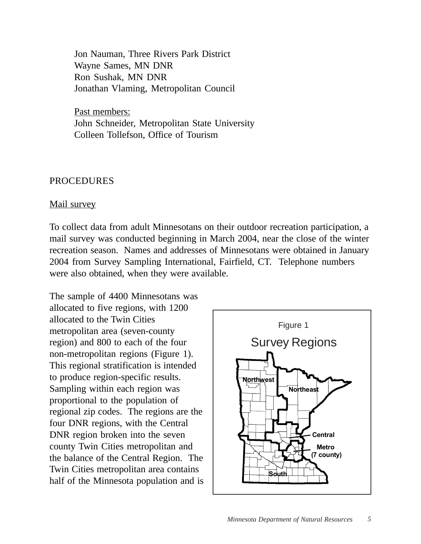Jon Nauman, Three Rivers Park District Wayne Sames, MN DNR Ron Sushak, MN DNR Jonathan Vlaming, Metropolitan Council

Past members: John Schneider, Metropolitan State University Colleen Tollefson, Office of Tourism

# PROCEDURES

# Mail survey

To collect data from adult Minnesotans on their outdoor recreation participation, a mail survey was conducted beginning in March 2004, near the close of the winter recreation season. Names and addresses of Minnesotans were obtained in January 2004 from Survey Sampling International, Fairfield, CT. Telephone numbers were also obtained, when they were available.

The sample of 4400 Minnesotans was allocated to five regions, with 1200 allocated to the Twin Cities metropolitan area (seven-county region) and 800 to each of the four non-metropolitan regions (Figure 1). This regional stratification is intended to produce region-specific results. Sampling within each region was proportional to the population of regional zip codes. The regions are the four DNR regions, with the Central DNR region broken into the seven county Twin Cities metropolitan and the balance of the Central Region. The Twin Cities metropolitan area contains half of the Minnesota population and is

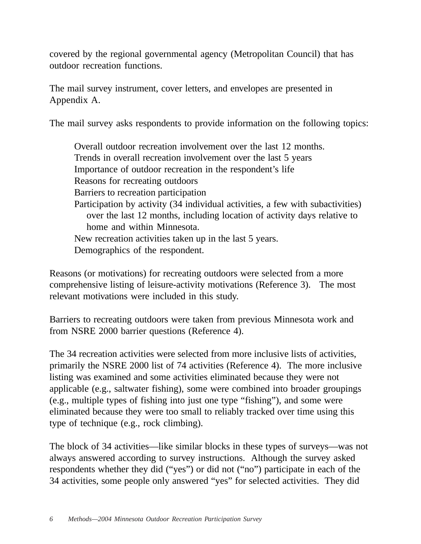covered by the regional governmental agency (Metropolitan Council) that has outdoor recreation functions.

The mail survey instrument, cover letters, and envelopes are presented in Appendix A.

The mail survey asks respondents to provide information on the following topics:

Overall outdoor recreation involvement over the last 12 months. Trends in overall recreation involvement over the last 5 years Importance of outdoor recreation in the respondent's life Reasons for recreating outdoors Barriers to recreation participation Participation by activity (34 individual activities, a few with subactivities) over the last 12 months, including location of activity days relative to home and within Minnesota. New recreation activities taken up in the last 5 years. Demographics of the respondent.

Reasons (or motivations) for recreating outdoors were selected from a more comprehensive listing of leisure-activity motivations (Reference 3). The most relevant motivations were included in this study.

Barriers to recreating outdoors were taken from previous Minnesota work and from NSRE 2000 barrier questions (Reference 4).

The 34 recreation activities were selected from more inclusive lists of activities, primarily the NSRE 2000 list of 74 activities (Reference 4). The more inclusive listing was examined and some activities eliminated because they were not applicable (e.g., saltwater fishing), some were combined into broader groupings (e.g., multiple types of fishing into just one type "fishing"), and some were eliminated because they were too small to reliably tracked over time using this type of technique (e.g., rock climbing).

The block of 34 activities—like similar blocks in these types of surveys—was not always answered according to survey instructions. Although the survey asked respondents whether they did ("yes") or did not ("no") participate in each of the 34 activities, some people only answered "yes" for selected activities. They did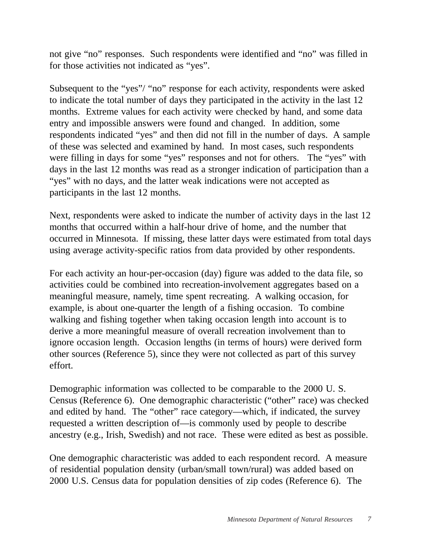not give "no" responses. Such respondents were identified and "no" was filled in for those activities not indicated as "yes".

Subsequent to the "yes"/ "no" response for each activity, respondents were asked to indicate the total number of days they participated in the activity in the last 12 months. Extreme values for each activity were checked by hand, and some data entry and impossible answers were found and changed. In addition, some respondents indicated "yes" and then did not fill in the number of days. A sample of these was selected and examined by hand. In most cases, such respondents were filling in days for some "yes" responses and not for others. The "yes" with days in the last 12 months was read as a stronger indication of participation than a "yes" with no days, and the latter weak indications were not accepted as participants in the last 12 months.

Next, respondents were asked to indicate the number of activity days in the last 12 months that occurred within a half-hour drive of home, and the number that occurred in Minnesota. If missing, these latter days were estimated from total days using average activity-specific ratios from data provided by other respondents.

For each activity an hour-per-occasion (day) figure was added to the data file, so activities could be combined into recreation-involvement aggregates based on a meaningful measure, namely, time spent recreating. A walking occasion, for example, is about one-quarter the length of a fishing occasion. To combine walking and fishing together when taking occasion length into account is to derive a more meaningful measure of overall recreation involvement than to ignore occasion length. Occasion lengths (in terms of hours) were derived form other sources (Reference 5), since they were not collected as part of this survey effort.

Demographic information was collected to be comparable to the 2000 U. S. Census (Reference 6). One demographic characteristic ("other" race) was checked and edited by hand. The "other" race category—which, if indicated, the survey requested a written description of—is commonly used by people to describe ancestry (e.g., Irish, Swedish) and not race. These were edited as best as possible.

One demographic characteristic was added to each respondent record. A measure of residential population density (urban/small town/rural) was added based on 2000 U.S. Census data for population densities of zip codes (Reference 6). The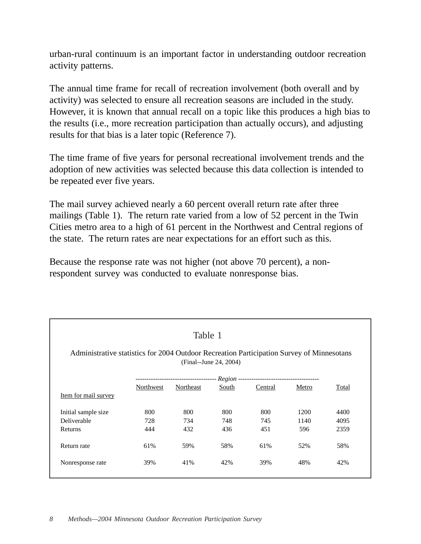urban-rural continuum is an important factor in understanding outdoor recreation activity patterns.

The annual time frame for recall of recreation involvement (both overall and by activity) was selected to ensure all recreation seasons are included in the study. However, it is known that annual recall on a topic like this produces a high bias to the results (i.e., more recreation participation than actually occurs), and adjusting results for that bias is a later topic (Reference 7).

The time frame of five years for personal recreational involvement trends and the adoption of new activities was selected because this data collection is intended to be repeated ever five years.

The mail survey achieved nearly a 60 percent overall return rate after three mailings (Table 1). The return rate varied from a low of 52 percent in the Twin Cities metro area to a high of 61 percent in the Northwest and Central regions of the state. The return rates are near expectations for an effort such as this.

Because the response rate was not higher (not above 70 percent), a nonrespondent survey was conducted to evaluate nonresponse bias.

| Table 1<br>Administrative statistics for 2004 Outdoor Recreation Participation Survey of Minnesotans |           |                                     |                        |         |       |       |  |  |  |
|------------------------------------------------------------------------------------------------------|-----------|-------------------------------------|------------------------|---------|-------|-------|--|--|--|
|                                                                                                      |           |                                     | (Final--June 24, 2004) |         |       |       |  |  |  |
|                                                                                                      |           |                                     |                        |         |       |       |  |  |  |
|                                                                                                      |           | ----------------------------------- |                        |         |       |       |  |  |  |
|                                                                                                      | Northwest | Northeast                           | South                  | Central | Metro | Total |  |  |  |
| Item for mail survey                                                                                 |           |                                     |                        |         |       |       |  |  |  |
| Initial sample size                                                                                  | 800       | 800                                 | 800                    | 800     | 1200  | 4400  |  |  |  |
| Deliverable                                                                                          | 728       | 734                                 | 748                    | 745     | 1140  | 4095  |  |  |  |
| Returns                                                                                              | 444       | 432                                 | 436                    | 451     | 596   | 2359  |  |  |  |
| Return rate                                                                                          | 61%       | 59%                                 | 58%                    | 61%     | 52%   | 58%   |  |  |  |
| Nonresponse rate                                                                                     | 39%       | 41%                                 | 42%                    | 39%     | 48%   | 42%   |  |  |  |
|                                                                                                      |           |                                     |                        |         |       |       |  |  |  |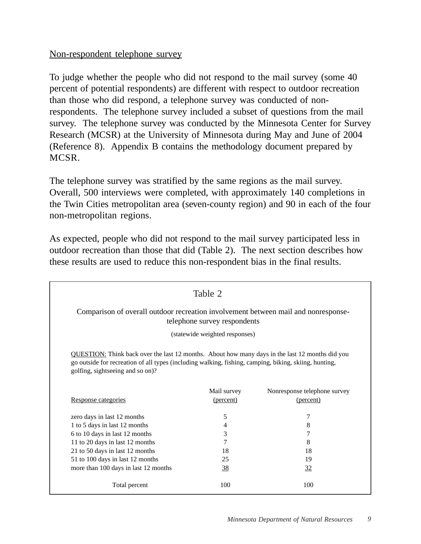# Non-respondent telephone survey

To judge whether the people who did not respond to the mail survey (some 40 percent of potential respondents) are different with respect to outdoor recreation than those who did respond, a telephone survey was conducted of nonrespondents. The telephone survey included a subset of questions from the mail survey. The telephone survey was conducted by the Minnesota Center for Survey Research (MCSR) at the University of Minnesota during May and June of 2004 (Reference 8). Appendix B contains the methodology document prepared by MCSR.

The telephone survey was stratified by the same regions as the mail survey. Overall, 500 interviews were completed, with approximately 140 completions in the Twin Cities metropolitan area (seven-county region) and 90 in each of the four non-metropolitan regions.

As expected, people who did not respond to the mail survey participated less in outdoor recreation than those that did (Table 2). The next section describes how these results are used to reduce this non-respondent bias in the final results.

| Table 2                                                                                                            |                                                                                                                                                                                                          |                              |  |  |  |  |  |  |
|--------------------------------------------------------------------------------------------------------------------|----------------------------------------------------------------------------------------------------------------------------------------------------------------------------------------------------------|------------------------------|--|--|--|--|--|--|
| Comparison of overall outdoor recreation involvement between mail and nonresponse-<br>telephone survey respondents |                                                                                                                                                                                                          |                              |  |  |  |  |  |  |
| (statewide weighted responses)                                                                                     |                                                                                                                                                                                                          |                              |  |  |  |  |  |  |
| golfing, sightseeing and so on)?                                                                                   | QUESTION: Think back over the last 12 months. About how many days in the last 12 months did you<br>go outside for recreation of all types (including walking, fishing, camping, biking, skiing, hunting, |                              |  |  |  |  |  |  |
|                                                                                                                    | Mail survey                                                                                                                                                                                              | Nonresponse telephone survey |  |  |  |  |  |  |
| Response categories                                                                                                | (percent)                                                                                                                                                                                                | (percent)                    |  |  |  |  |  |  |
| zero days in last 12 months                                                                                        | 5                                                                                                                                                                                                        | 7                            |  |  |  |  |  |  |
| 1 to 5 days in last 12 months                                                                                      | 4                                                                                                                                                                                                        | 8                            |  |  |  |  |  |  |
| 6 to 10 days in last 12 months                                                                                     | 3                                                                                                                                                                                                        | $\overline{7}$               |  |  |  |  |  |  |
| 11 to 20 days in last 12 months                                                                                    | 7                                                                                                                                                                                                        | 8                            |  |  |  |  |  |  |
| 21 to 50 days in last 12 months                                                                                    | 18                                                                                                                                                                                                       | 18                           |  |  |  |  |  |  |
| 51 to 100 days in last 12 months                                                                                   | 25                                                                                                                                                                                                       | 19                           |  |  |  |  |  |  |
| more than 100 days in last 12 months                                                                               | 38                                                                                                                                                                                                       | 32                           |  |  |  |  |  |  |
| Total percent                                                                                                      | 100                                                                                                                                                                                                      | 100                          |  |  |  |  |  |  |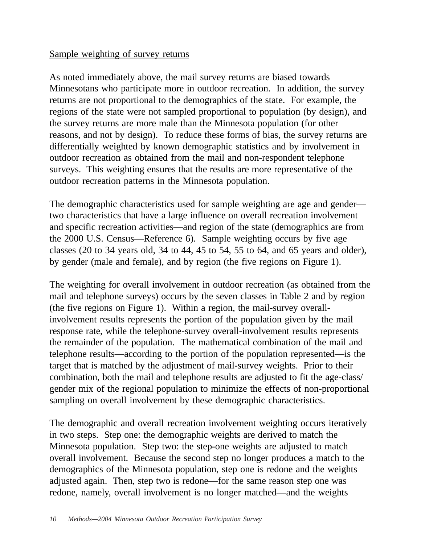# Sample weighting of survey returns

As noted immediately above, the mail survey returns are biased towards Minnesotans who participate more in outdoor recreation. In addition, the survey returns are not proportional to the demographics of the state. For example, the regions of the state were not sampled proportional to population (by design), and the survey returns are more male than the Minnesota population (for other reasons, and not by design). To reduce these forms of bias, the survey returns are differentially weighted by known demographic statistics and by involvement in outdoor recreation as obtained from the mail and non-respondent telephone surveys. This weighting ensures that the results are more representative of the outdoor recreation patterns in the Minnesota population.

The demographic characteristics used for sample weighting are age and gender two characteristics that have a large influence on overall recreation involvement and specific recreation activities—and region of the state (demographics are from the 2000 U.S. Census—Reference 6). Sample weighting occurs by five age classes (20 to 34 years old, 34 to 44, 45 to 54, 55 to 64, and 65 years and older), by gender (male and female), and by region (the five regions on Figure 1).

The weighting for overall involvement in outdoor recreation (as obtained from the mail and telephone surveys) occurs by the seven classes in Table 2 and by region (the five regions on Figure 1). Within a region, the mail-survey overallinvolvement results represents the portion of the population given by the mail response rate, while the telephone-survey overall-involvement results represents the remainder of the population. The mathematical combination of the mail and telephone results—according to the portion of the population represented—is the target that is matched by the adjustment of mail-survey weights. Prior to their combination, both the mail and telephone results are adjusted to fit the age-class/ gender mix of the regional population to minimize the effects of non-proportional sampling on overall involvement by these demographic characteristics.

The demographic and overall recreation involvement weighting occurs iteratively in two steps. Step one: the demographic weights are derived to match the Minnesota population. Step two: the step-one weights are adjusted to match overall involvement. Because the second step no longer produces a match to the demographics of the Minnesota population, step one is redone and the weights adjusted again. Then, step two is redone—for the same reason step one was redone, namely, overall involvement is no longer matched—and the weights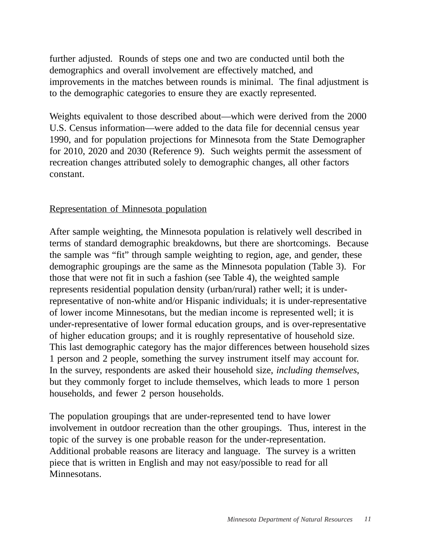further adjusted. Rounds of steps one and two are conducted until both the demographics and overall involvement are effectively matched, and improvements in the matches between rounds is minimal. The final adjustment is to the demographic categories to ensure they are exactly represented.

Weights equivalent to those described about—which were derived from the 2000 U.S. Census information—were added to the data file for decennial census year 1990, and for population projections for Minnesota from the State Demographer for 2010, 2020 and 2030 (Reference 9). Such weights permit the assessment of recreation changes attributed solely to demographic changes, all other factors constant.

# Representation of Minnesota population

After sample weighting, the Minnesota population is relatively well described in terms of standard demographic breakdowns, but there are shortcomings. Because the sample was "fit" through sample weighting to region, age, and gender, these demographic groupings are the same as the Minnesota population (Table 3). For those that were not fit in such a fashion (see Table 4), the weighted sample represents residential population density (urban/rural) rather well; it is underrepresentative of non-white and/or Hispanic individuals; it is under-representative of lower income Minnesotans, but the median income is represented well; it is under-representative of lower formal education groups, and is over-representative of higher education groups; and it is roughly representative of household size. This last demographic category has the major differences between household sizes 1 person and 2 people, something the survey instrument itself may account for. In the survey, respondents are asked their household size, *including themselves*, but they commonly forget to include themselves, which leads to more 1 person households, and fewer 2 person households.

The population groupings that are under-represented tend to have lower involvement in outdoor recreation than the other groupings. Thus, interest in the topic of the survey is one probable reason for the under-representation. Additional probable reasons are literacy and language. The survey is a written piece that is written in English and may not easy/possible to read for all Minnesotans.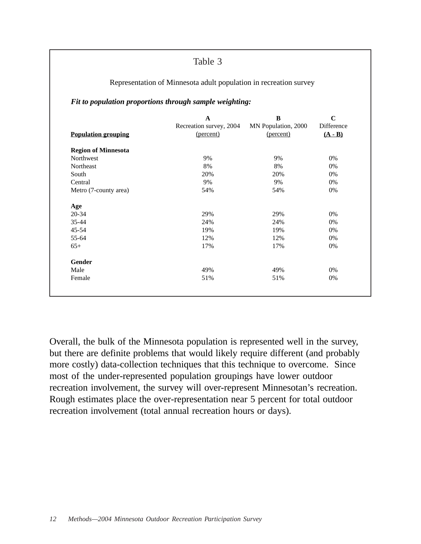Table 3

|                            | A                       | $\bf{B}$            | $\mathbf C$ |  |  |  |  |  |
|----------------------------|-------------------------|---------------------|-------------|--|--|--|--|--|
|                            | Recreation survey, 2004 | MN Population, 2000 | Difference  |  |  |  |  |  |
| <b>Population grouping</b> | (percent)               | (percent)           | $(A - B)$   |  |  |  |  |  |
| <b>Region of Minnesota</b> |                         |                     |             |  |  |  |  |  |
| Northwest                  | 9%                      | 9%                  | 0%          |  |  |  |  |  |
| Northeast                  | 8%                      | 8%                  | $0\%$       |  |  |  |  |  |
| South                      | 20%                     | 20%                 | $0\%$       |  |  |  |  |  |
| Central                    | 9%                      | 9%                  | 0%          |  |  |  |  |  |
| Metro (7-county area)      | 54%                     | 54%                 | 0%          |  |  |  |  |  |
| Age                        |                         |                     |             |  |  |  |  |  |
| 20-34                      | 29%                     | 29%                 | 0%          |  |  |  |  |  |
| 35-44                      | 24%                     | 24%                 | $0\%$       |  |  |  |  |  |
| 45-54                      | 19%                     | 19%                 | $0\%$       |  |  |  |  |  |
| 55-64                      | 12%                     | 12%                 | $0\%$       |  |  |  |  |  |
| $65+$                      | 17%                     | 17%                 | $0\%$       |  |  |  |  |  |
| <b>Gender</b>              |                         |                     |             |  |  |  |  |  |
| Male                       | 49%                     | 49%                 | 0%          |  |  |  |  |  |
| Female                     | 51%                     | 51%                 | 0%          |  |  |  |  |  |

Overall, the bulk of the Minnesota population is represented well in the survey, but there are definite problems that would likely require different (and probably more costly) data-collection techniques that this technique to overcome. Since most of the under-represented population groupings have lower outdoor recreation involvement, the survey will over-represent Minnesotan's recreation. Rough estimates place the over-representation near 5 percent for total outdoor recreation involvement (total annual recreation hours or days).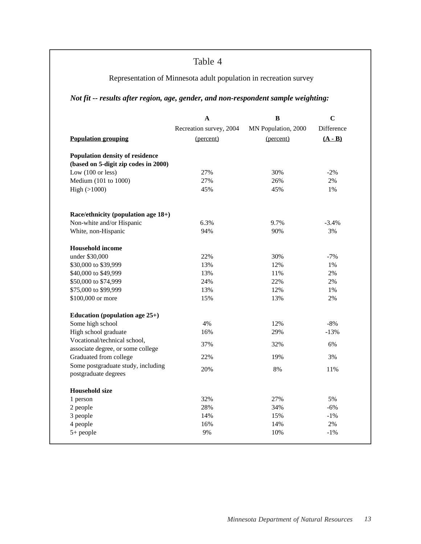# Table 4

# Representation of Minnesota adult population in recreation survey

# *Not fit -- results after region, age, gender, and non-respondent sample weighting:*

|                                                                   | A                       | $\bf{B}$            | $\mathbf C$                     |  |
|-------------------------------------------------------------------|-------------------------|---------------------|---------------------------------|--|
|                                                                   | Recreation survey, 2004 | MN Population, 2000 | Difference                      |  |
| <b>Population grouping</b>                                        | (percent)               | (percent)           | $(\mathbf{A} \cdot \mathbf{B})$ |  |
| <b>Population density of residence</b>                            |                         |                     |                                 |  |
| (based on 5-digit zip codes in 2000)                              |                         |                     |                                 |  |
| Low $(100 \text{ or } \text{less})$                               | 27%                     | 30%                 | $-2%$                           |  |
| Medium (101 to 1000)                                              | 27%                     | 26%                 | 2%                              |  |
| High (>1000)                                                      | 45%                     | 45%                 | 1%                              |  |
| Race/ethnicity (population age 18+)                               |                         |                     |                                 |  |
| Non-white and/or Hispanic                                         | 6.3%                    | 9.7%                | $-3.4%$                         |  |
| White, non-Hispanic                                               | 94%                     | 90%                 | 3%                              |  |
| <b>Household income</b>                                           |                         |                     |                                 |  |
| under \$30,000                                                    | 22%                     | 30%                 | $-7%$                           |  |
| \$30,000 to \$39,999                                              | 13%                     | 12%                 | 1%                              |  |
| \$40,000 to \$49,999                                              | 13%                     | 11%                 | $2\%$                           |  |
| \$50,000 to \$74,999                                              | 24%                     | 22%                 | 2%                              |  |
| \$75,000 to \$99,999                                              | 13%                     | 12%                 | $1\%$                           |  |
| \$100,000 or more                                                 | 15%                     | 13%                 | 2%                              |  |
| Education (population age $25+$ )                                 |                         |                     |                                 |  |
| Some high school                                                  | 4%                      | 12%                 | $-8%$                           |  |
| High school graduate                                              | 16%                     | 29%                 | $-13%$                          |  |
| Vocational/technical school,<br>associate degree, or some college | 37%                     | 32%                 | 6%                              |  |
| Graduated from college                                            | 22%                     | 19%                 | 3%                              |  |
| Some postgraduate study, including                                |                         |                     |                                 |  |
| postgraduate degrees                                              | 20%                     | 8%                  | 11%                             |  |
| <b>Household size</b>                                             |                         |                     |                                 |  |
| 1 person                                                          | 32%                     | 27%                 | 5%                              |  |
| 2 people                                                          | 28%                     | 34%                 | $-6%$                           |  |
| 3 people                                                          | 14%                     | 15%                 | $-1%$                           |  |
| 4 people                                                          | 16%                     | 14%                 | 2%                              |  |
| $5+$ people                                                       | 9%                      | 10%                 | $-1%$                           |  |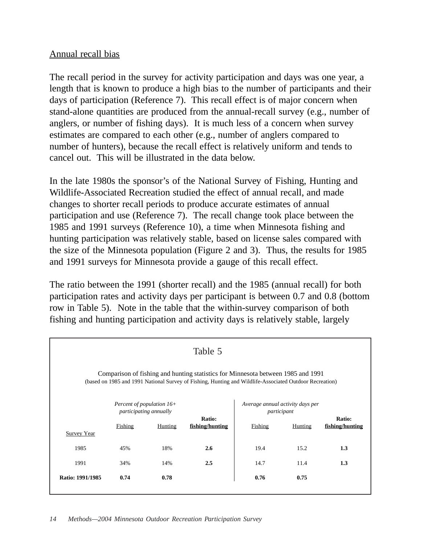# Annual recall bias

The recall period in the survey for activity participation and days was one year, a length that is known to produce a high bias to the number of participants and their days of participation (Reference 7). This recall effect is of major concern when stand-alone quantities are produced from the annual-recall survey (e.g., number of anglers, or number of fishing days). It is much less of a concern when survey estimates are compared to each other (e.g., number of anglers compared to number of hunters), because the recall effect is relatively uniform and tends to cancel out. This will be illustrated in the data below.

In the late 1980s the sponsor's of the National Survey of Fishing, Hunting and Wildlife-Associated Recreation studied the effect of annual recall, and made changes to shorter recall periods to produce accurate estimates of annual participation and use (Reference 7). The recall change took place between the 1985 and 1991 surveys (Reference 10), a time when Minnesota fishing and hunting participation was relatively stable, based on license sales compared with the size of the Minnesota population (Figure 2 and 3). Thus, the results for 1985 and 1991 surveys for Minnesota provide a gauge of this recall effect.

The ratio between the 1991 (shorter recall) and the 1985 (annual recall) for both participation rates and activity days per participant is between 0.7 and 0.8 (bottom row in Table 5). Note in the table that the within-survey comparison of both fishing and hunting participation and activity days is relatively stable, largely

| Table 5                                                                                                                                                                                     |         |                                                                                                      |     |                                                            |                           |     |  |
|---------------------------------------------------------------------------------------------------------------------------------------------------------------------------------------------|---------|------------------------------------------------------------------------------------------------------|-----|------------------------------------------------------------|---------------------------|-----|--|
| Comparison of fishing and hunting statistics for Minnesota between 1985 and 1991<br>(based on 1985 and 1991 National Survey of Fishing, Hunting and Wildlife-Associated Outdoor Recreation) |         |                                                                                                      |     |                                                            |                           |     |  |
|                                                                                                                                                                                             | Fishing | Percent of population $16+$<br>participating annually<br>Ratio:<br>fishing/hunting<br><b>Hunting</b> |     | Average annual activity days per<br>participant<br>Fishing | Ratio:<br>fishing/hunting |     |  |
| <b>Survey Year</b><br>1985                                                                                                                                                                  | 45%     | 18%                                                                                                  | 2.6 | 19.4                                                       | 15.2                      | 1.3 |  |
| 1991                                                                                                                                                                                        | 34%     | 14%                                                                                                  | 2.5 | 14.7                                                       | 11.4                      | 1.3 |  |
| Ratio: 1991/1985                                                                                                                                                                            | 0.74    | 0.78                                                                                                 |     | 0.76                                                       | 0.75                      |     |  |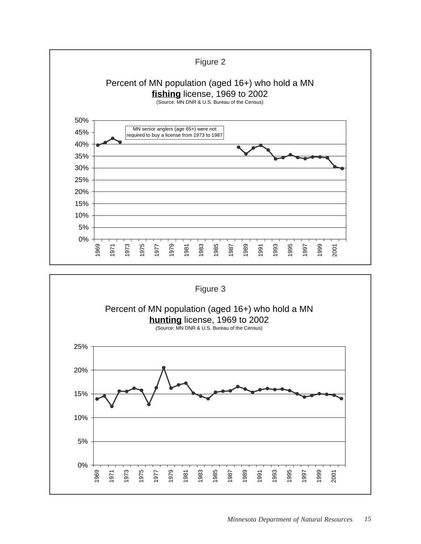

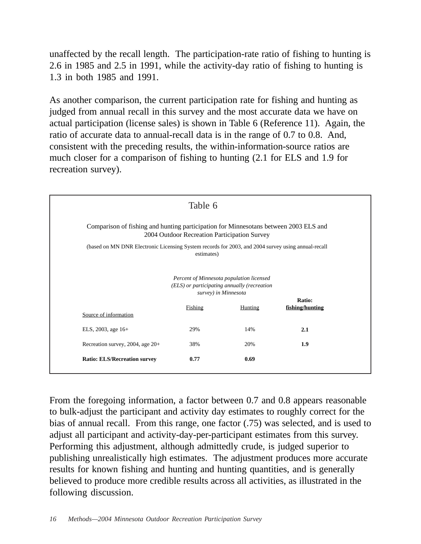unaffected by the recall length. The participation-rate ratio of fishing to hunting is 2.6 in 1985 and 2.5 in 1991, while the activity-day ratio of fishing to hunting is 1.3 in both 1985 and 1991.

As another comparison, the current participation rate for fishing and hunting as judged from annual recall in this survey and the most accurate data we have on actual participation (license sales) is shown in Table 6 (Reference 11). Again, the ratio of accurate data to annual-recall data is in the range of 0.7 to 0.8. And, consistent with the preceding results, the within-information-source ratios are much closer for a comparison of fishing to hunting (2.1 for ELS and 1.9 for recreation survey).

|                                                                                                                                      | Table 6 |                                                                                                                 |                 |  |  |  |  |
|--------------------------------------------------------------------------------------------------------------------------------------|---------|-----------------------------------------------------------------------------------------------------------------|-----------------|--|--|--|--|
| Comparison of fishing and hunting participation for Minnesotans between 2003 ELS and<br>2004 Outdoor Recreation Participation Survey |         |                                                                                                                 |                 |  |  |  |  |
| (based on MN DNR Electronic Licensing System records for 2003, and 2004 survey using annual-recall<br>estimates)                     |         |                                                                                                                 |                 |  |  |  |  |
|                                                                                                                                      |         | Percent of Minnesota population licensed<br>(ELS) or participating annually (recreation<br>survey) in Minnesota | Ratio:          |  |  |  |  |
| Source of information                                                                                                                | Fishing | Hunting                                                                                                         | fishing/hunting |  |  |  |  |
| ELS, 2003, age 16+                                                                                                                   | 29%     | 14%                                                                                                             | 2.1             |  |  |  |  |
| Recreation survey, 2004, age 20+                                                                                                     | 38%     | 20%                                                                                                             | 1.9             |  |  |  |  |
| <b>Ratio: ELS/Recreation survey</b>                                                                                                  | 0.77    | 0.69                                                                                                            |                 |  |  |  |  |

From the foregoing information, a factor between 0.7 and 0.8 appears reasonable to bulk-adjust the participant and activity day estimates to roughly correct for the bias of annual recall. From this range, one factor (.75) was selected, and is used to adjust all participant and activity-day-per-participant estimates from this survey. Performing this adjustment, although admittedly crude, is judged superior to publishing unrealistically high estimates. The adjustment produces more accurate results for known fishing and hunting and hunting quantities, and is generally believed to produce more credible results across all activities, as illustrated in the following discussion.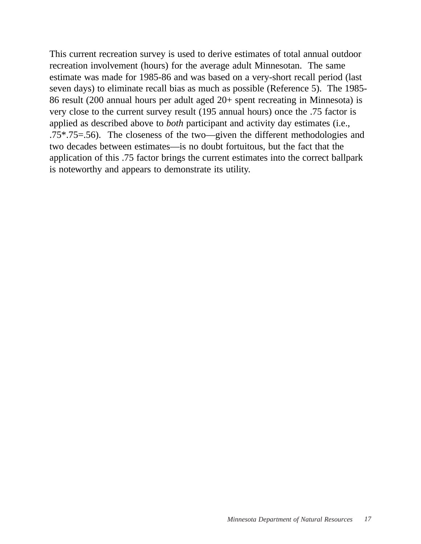This current recreation survey is used to derive estimates of total annual outdoor recreation involvement (hours) for the average adult Minnesotan. The same estimate was made for 1985-86 and was based on a very-short recall period (last seven days) to eliminate recall bias as much as possible (Reference 5). The 1985- 86 result (200 annual hours per adult aged 20+ spent recreating in Minnesota) is very close to the current survey result (195 annual hours) once the .75 factor is applied as described above to *both* participant and activity day estimates (i.e., .75\*.75=.56). The closeness of the two—given the different methodologies and two decades between estimates—is no doubt fortuitous, but the fact that the application of this .75 factor brings the current estimates into the correct ballpark is noteworthy and appears to demonstrate its utility.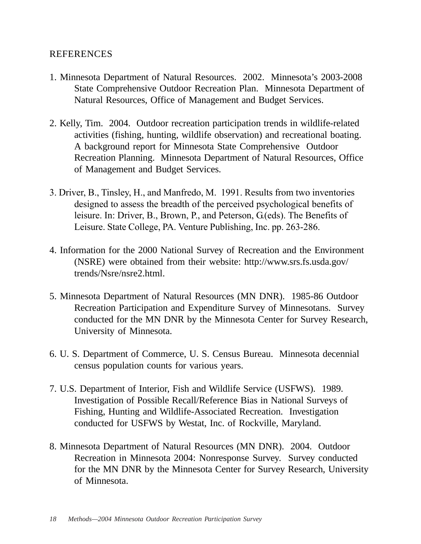# REFERENCES

- 1. Minnesota Department of Natural Resources. 2002. Minnesota's 2003-2008 State Comprehensive Outdoor Recreation Plan. Minnesota Department of Natural Resources, Office of Management and Budget Services.
- 2. Kelly, Tim. 2004. Outdoor recreation participation trends in wildlife-related activities (fishing, hunting, wildlife observation) and recreational boating. A background report for Minnesota State Comprehensive Outdoor Recreation Planning. Minnesota Department of Natural Resources, Office of Management and Budget Services.
- 3. Driver, B., Tinsley, H., and Manfredo, M. 1991. Results from two inventories designed to assess the breadth of the perceived psychological benefits of leisure. In: Driver, B., Brown, P., and Peterson, G.(eds). The Benefits of Leisure. State College, PA. Venture Publishing, Inc. pp. 263-286.
- 4. Information for the 2000 National Survey of Recreation and the Environment (NSRE) were obtained from their website: http://www.srs.fs.usda.gov/ trends/Nsre/nsre2.html.
- 5. Minnesota Department of Natural Resources (MN DNR). 1985-86 Outdoor Recreation Participation and Expenditure Survey of Minnesotans. Survey conducted for the MN DNR by the Minnesota Center for Survey Research, University of Minnesota.
- 6. U. S. Department of Commerce, U. S. Census Bureau. Minnesota decennial census population counts for various years.
- 7. U.S. Department of Interior, Fish and Wildlife Service (USFWS). 1989. Investigation of Possible Recall/Reference Bias in National Surveys of Fishing, Hunting and Wildlife-Associated Recreation. Investigation conducted for USFWS by Westat, Inc. of Rockville, Maryland.
- 8. Minnesota Department of Natural Resources (MN DNR). 2004. Outdoor Recreation in Minnesota 2004: Nonresponse Survey. Survey conducted for the MN DNR by the Minnesota Center for Survey Research, University of Minnesota.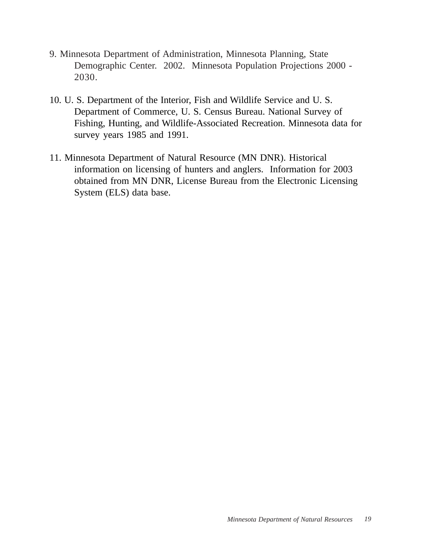- 9. Minnesota Department of Administration, Minnesota Planning, State Demographic Center. 2002. Minnesota Population Projections 2000 - 2030.
- 10. U. S. Department of the Interior, Fish and Wildlife Service and U. S. Department of Commerce, U. S. Census Bureau. National Survey of Fishing, Hunting, and Wildlife-Associated Recreation. Minnesota data for survey years 1985 and 1991.
- 11. Minnesota Department of Natural Resource (MN DNR). Historical information on licensing of hunters and anglers. Information for 2003 obtained from MN DNR, License Bureau from the Electronic Licensing System (ELS) data base.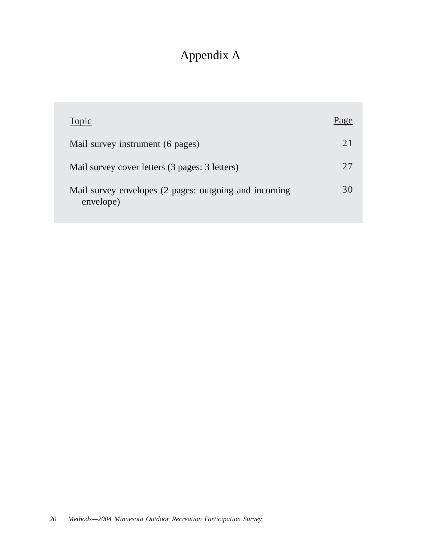# Appendix A

| Topic                                                              |     |
|--------------------------------------------------------------------|-----|
| Mail survey instrument (6 pages)                                   | 2.1 |
| Mail survey cover letters (3 pages: 3 letters)                     | 27  |
| Mail survey envelopes (2 pages: outgoing and incoming<br>envelope) | 30  |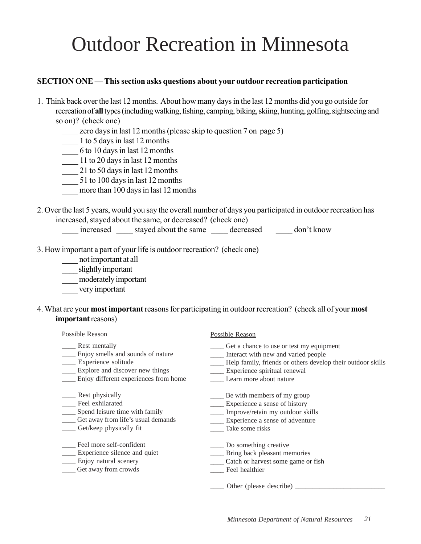# Outdoor Recreation in Minnesota

### **SECTION ONE — This section asks questions about your outdoor recreation participation**

- 1. Think back over the last 12 months. About how many days in the last 12 months did you go outside for recreation of **all** types (including walking, fishing, camping, biking, skiing, hunting, golfing, sightseeing and so on)? (check one)
	- zero days in last 12 months (please skip to question 7 on page 5)
	- \_\_\_\_ 1 to 5 days in last 12 months
	- $\frac{1}{\sqrt{10}}$  6 to 10 days in last 12 months
	- \_\_\_\_ 11 to 20 days in last 12 months
	- 21 to 50 days in last 12 months
	- \_\_\_\_ 51 to 100 days in last 12 months
	- more than 100 days in last 12 months
- 2. Over the last 5 years, would you say the overall number of days you participated in outdoor recreation has increased, stayed about the same, or decreased? (check one)
	- \_\_\_\_ increased \_\_\_\_ stayed about the same \_\_\_\_ decreased \_\_\_\_ don't know
- 3. How important a part of your life is outdoor recreation? (check one)
	- \_\_\_\_ not important at all
	- \_\_\_\_ slightly important
	- \_\_\_\_ moderately important
	- \_\_\_\_ very important
- 4. What are your **most important** reasons for participating in outdoor recreation? (check all of your **most important** reasons)

| <b>Possible Reason</b>                | <b>Possible Reason</b>                                      |
|---------------------------------------|-------------------------------------------------------------|
| Rest mentally                         | Get a chance to use or test my equipment                    |
| Enjoy smells and sounds of nature     | Interact with new and varied people                         |
| Experience solitude                   | Help family, friends or others develop their outdoor skills |
| Explore and discover new things       | Experience spiritual renewal                                |
| Enjoy different experiences from home | Learn more about nature                                     |
| Rest physically                       | Be with members of my group                                 |
| Feel exhilarated                      | Experience a sense of history                               |
| Spend leisure time with family        | Improve/retain my outdoor skills                            |
| Get away from life's usual demands    | Experience a sense of adventure                             |
| Get/keep physically fit               | Take some risks                                             |
| Feel more self-confident              | Do something creative                                       |
| Experience silence and quiet          | Bring back pleasant memories                                |
| Enjoy natural scenery                 | Catch or harvest some game or fish                          |
| Get away from crowds                  | Feel healthier                                              |
|                                       | Other (please describe)                                     |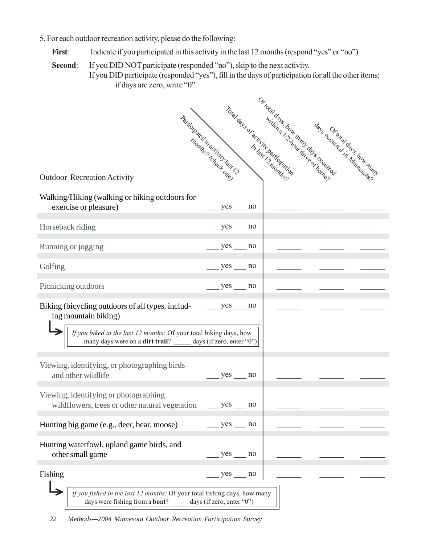- 5. For each outdoor recreation activity, please do the following:
	- First: Indicate if you participated in this activity in the last 12 months (respond "yes" or "no").

**Second:** If you DID NOT participate (responded "no"), skip to the next activity. If you DID participate (responded "yes"), fill in the days of participation for all the other items; if days are zero, write "0".

|                                                                                                                                         | Participated in activity task 12 |    | Ortotal days how many days occurring<br>Total days or activity participation<br>la les santants de la librerie de la librer<br>in last 12 months? | days occurred to s how many |
|-----------------------------------------------------------------------------------------------------------------------------------------|----------------------------------|----|---------------------------------------------------------------------------------------------------------------------------------------------------|-----------------------------|
| <b>Outdoor Recreation Activity</b>                                                                                                      |                                  |    |                                                                                                                                                   |                             |
| Walking/Hiking (walking or hiking outdoors for<br>exercise or pleasure)                                                                 | $yes \_ no$                      |    |                                                                                                                                                   |                             |
| Horseback riding                                                                                                                        | $yes \_ no$                      |    |                                                                                                                                                   |                             |
| Running or jogging                                                                                                                      |                                  | no |                                                                                                                                                   |                             |
| Golfing                                                                                                                                 | $yes \_ no$                      |    |                                                                                                                                                   |                             |
| Picnicking outdoors                                                                                                                     | yes                              | no |                                                                                                                                                   |                             |
| Biking (bicycling outdoors of all types, includ-<br>ing mountain biking)                                                                | $yes \_ no$                      |    |                                                                                                                                                   |                             |
| If you biked in the last 12 months: Of your total biking days, how<br>many days were on a <b>dirt trail</b> ? days (if zero, enter "0") |                                  |    |                                                                                                                                                   |                             |
| Viewing, identifying, or photographing birds<br>and other wildlife                                                                      | yes no                           |    |                                                                                                                                                   |                             |
| Viewing, identifying or photographing<br>wildflowers, trees or other natural vegetation                                                 | $yes$ no                         |    |                                                                                                                                                   |                             |
| Hunting big game (e.g., deer, bear, moose)                                                                                              | $yes \_ no$                      |    |                                                                                                                                                   |                             |
| Hunting waterfowl, upland game birds, and<br>other small game                                                                           | $yes \_ no$                      |    |                                                                                                                                                   |                             |
| Fishing                                                                                                                                 | $yes \_ no$                      |    |                                                                                                                                                   |                             |
| If you fished in the last 12 months: Of your total fishing days, how many<br>days were fishing from a boat?                             | days (if zero, enter "0")        |    |                                                                                                                                                   |                             |

*22 Methods—2004 Minnesota Outdoor Recreation Participation Survey*

Ш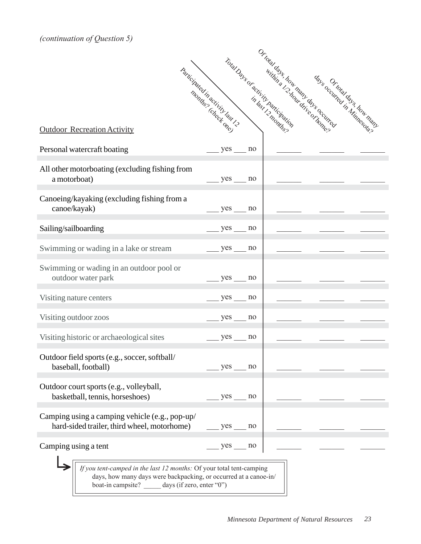*(continuation of Question 5)*

|                                                                                               | Participated in activity task 12 |             |    | Total Days of activity participation<br>ra des services de la Cardonnez | Ortotal days how many days accuracy | days Ortotal days how many |
|-----------------------------------------------------------------------------------------------|----------------------------------|-------------|----|-------------------------------------------------------------------------|-------------------------------------|----------------------------|
|                                                                                               |                                  |             |    | in last 12 months?                                                      |                                     |                            |
| <b>Outdoor Recreation Activity</b>                                                            |                                  |             |    |                                                                         |                                     |                            |
| Personal watercraft boating                                                                   |                                  | yes         | no |                                                                         |                                     |                            |
| All other motorboating (excluding fishing from<br>a motorboat)                                |                                  | $yes \_ no$ |    |                                                                         |                                     |                            |
| Canoeing/kayaking (excluding fishing from a<br>canoe/kayak)                                   |                                  | $yes \_$ no |    |                                                                         |                                     |                            |
| Sailing/sailboarding                                                                          |                                  | $yes \_$ no |    |                                                                         |                                     |                            |
| Swimming or wading in a lake or stream                                                        |                                  | yes         | no |                                                                         |                                     |                            |
| Swimming or wading in an outdoor pool or<br>outdoor water park                                |                                  | $yes \_ no$ |    |                                                                         |                                     |                            |
| Visiting nature centers                                                                       |                                  | yes         | no |                                                                         |                                     |                            |
| Visiting outdoor zoos                                                                         |                                  | $yes \_$ no |    |                                                                         |                                     |                            |
| Visiting historic or archaeological sites                                                     |                                  | $yes \_ no$ |    |                                                                         |                                     |                            |
| Outdoor field sports (e.g., soccer, softball/<br>baseball, football)                          |                                  | $yes \_$ no |    |                                                                         |                                     |                            |
| Outdoor court sports (e.g., volleyball,<br>basketball, tennis, horseshoes)                    |                                  | $yes \_$ no |    |                                                                         |                                     |                            |
| Camping using a camping vehicle (e.g., pop-up/<br>hard-sided trailer, third wheel, motorhome) |                                  | $yes$ no    |    |                                                                         |                                     |                            |
| Camping using a tent                                                                          |                                  | $yes \_$ no |    |                                                                         |                                     |                            |
| If you tent-camped in the last 12 months: Of your total tent-camping                          |                                  |             |    |                                                                         |                                     |                            |

days, how many days were backpacking, or occurred at a canoe-in/ boat-in campsite? \_\_\_\_\_ days (if zero, enter "0")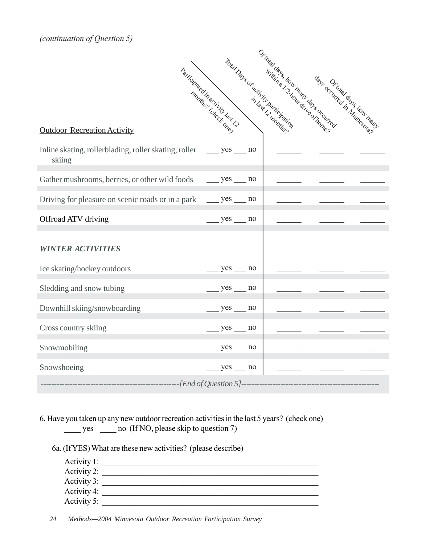*(continuation of Question 5)*

| Participated in activity tast 12                                                    |             |    | Ortotal days how many days occurring<br>Total Days or activity participation<br>Italians successors of thomas |  | days occurred days how many |  |
|-------------------------------------------------------------------------------------|-------------|----|---------------------------------------------------------------------------------------------------------------|--|-----------------------------|--|
| <b>Outdoor Recreation Activity</b>                                                  |             |    | in last 12 months?                                                                                            |  |                             |  |
| Inline skating, rollerblading, roller skating, roller ________ yes ______<br>skiing |             | no |                                                                                                               |  |                             |  |
| Gather mushrooms, berries, or other wild foods                                      | $yes$ no    |    |                                                                                                               |  |                             |  |
|                                                                                     |             |    |                                                                                                               |  |                             |  |
| Offroad ATV driving                                                                 | $yes$ no    |    |                                                                                                               |  |                             |  |
| <b>WINTER ACTIVITIES</b>                                                            |             |    |                                                                                                               |  |                             |  |
| Ice skating/hockey outdoors                                                         | $yes$ no    |    |                                                                                                               |  |                             |  |
| Sledding and snow tubing                                                            | $yes$ no    |    |                                                                                                               |  |                             |  |
| Downhill skiing/snowboarding                                                        | $yes$ no    |    |                                                                                                               |  |                             |  |
| Cross country skiing                                                                | $yes \_$ no |    |                                                                                                               |  |                             |  |
| Snowmobiling                                                                        | $yes$ no    |    |                                                                                                               |  |                             |  |
| Snowshoeing                                                                         | $yes$ no    |    |                                                                                                               |  |                             |  |
| $\frac{1}{2}$ =--------------[End of Question 5]-------------                       |             |    |                                                                                                               |  |                             |  |

6. Have you taken up any new outdoor recreation activities in the last 5 years? (check one) yes \_\_\_\_ no (If NO, please skip to question 7)

6a. (If YES) What are these new activities? (please describe)

| Activity 1: |  |
|-------------|--|
| Activity 2: |  |
| Activity 3: |  |
| Activity 4: |  |
| Activity 5: |  |

*24 Methods—2004 Minnesota Outdoor Recreation Participation Survey*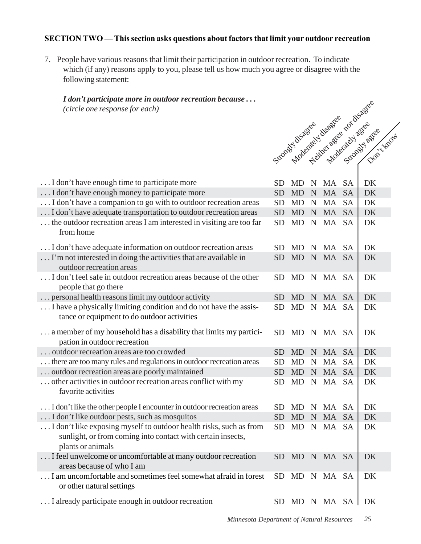### **SECTION TWO — This section asks questions about factors that limit your outdoor recreation**

7. People have various reasons that limit their participation in outdoor recreation. To indicate which (if any) reasons apply to you, please tell us how much you agree or disagree with the following statement:

## *I don't participate more in outdoor recreation because . . . (circle one response for each)*

| <i>i</i> paracepare more in outwoor recreament because <b>.</b><br>(circle one response for each) |           |           |             |               |           | Strongy disage of the age for disage every street |
|---------------------------------------------------------------------------------------------------|-----------|-----------|-------------|---------------|-----------|---------------------------------------------------|
|                                                                                                   |           |           |             |               |           |                                                   |
|                                                                                                   |           |           |             |               |           |                                                   |
|                                                                                                   |           |           |             |               |           | Don't troom                                       |
|                                                                                                   |           |           |             |               |           |                                                   |
|                                                                                                   |           |           |             |               |           |                                                   |
|                                                                                                   |           |           |             |               |           |                                                   |
| I don't have enough time to participate more                                                      |           |           |             |               |           |                                                   |
| I don't have enough money to participate more                                                     | SD        | <b>MD</b> | N           | MA            | <b>SA</b> | DK                                                |
| I don't have a companion to go with to outdoor recreation areas                                   | <b>SD</b> | <b>MD</b> | $\mathbf N$ | MA            | <b>SA</b> | <b>DK</b>                                         |
| I don't have adequate transportation to outdoor recreation areas                                  | <b>SD</b> | <b>MD</b> | $\mathbf N$ | <b>MA</b>     | <b>SA</b> | DK                                                |
| the outdoor recreation areas I am interested in visiting are too far                              | <b>SD</b> | MD        | $\mathbf N$ | MA SA         |           | DK                                                |
| from home                                                                                         |           |           |             |               |           |                                                   |
|                                                                                                   |           |           |             |               |           |                                                   |
| I don't have adequate information on outdoor recreation areas                                     | SD.       | MD        |             | N MA SA       |           | DK                                                |
| I'm not interested in doing the activities that are available in                                  | <b>SD</b> | <b>MD</b> | $\mathbf N$ | MA SA         |           | DK                                                |
| outdoor recreation areas                                                                          |           |           |             |               |           |                                                   |
| I don't feel safe in outdoor recreation areas because of the other                                | <b>SD</b> | <b>MD</b> |             | N MA SA       |           | DK                                                |
| people that go there                                                                              |           |           |             |               |           |                                                   |
| personal health reasons limit my outdoor activity                                                 | SD        | <b>MD</b> |             | N MA SA       |           | DK                                                |
| I have a physically limiting condition and do not have the assis-                                 | <b>SD</b> | MD        | $\mathbf N$ | MA SA         |           | DK                                                |
| tance or equipment to do outdoor activities                                                       |           |           |             |               |           |                                                   |
| a member of my household has a disability that limits my partici-                                 | <b>SD</b> | MD        |             | N MA SA       |           | DK                                                |
| pation in outdoor recreation                                                                      |           |           |             |               |           |                                                   |
| outdoor recreation areas are too crowded                                                          | <b>SD</b> | MD        | $\mathbf N$ | MA SA         |           | DK                                                |
| there are too many rules and regulations in outdoor recreation areas                              | <b>SD</b> | <b>MD</b> | $\mathbf N$ | MA            | <b>SA</b> | DK                                                |
| outdoor recreation areas are poorly maintained                                                    | <b>SD</b> | <b>MD</b> |             | N MA SA       |           | DK                                                |
| other activities in outdoor recreation areas conflict with my                                     | <b>SD</b> | <b>MD</b> | $\mathbf N$ | MA SA         |           | DK                                                |
| favorite activities                                                                               |           |           |             |               |           |                                                   |
|                                                                                                   |           |           |             |               |           |                                                   |
| I don't like the other people I encounter in outdoor recreation areas                             |           |           |             | SD MD N MA SA |           | DK                                                |
| I don't like outdoor pests, such as mosquitos                                                     | <b>SD</b> | MD        |             | N MA SA       |           | DK                                                |
| I don't like exposing myself to outdoor health risks, such as from                                | <b>SD</b> | MD        | $\mathbf N$ | MA SA         |           | DK                                                |
| sunlight, or from coming into contact with certain insects,                                       |           |           |             |               |           |                                                   |
| plants or animals                                                                                 |           |           |             |               |           |                                                   |
| I feel unwelcome or uncomfortable at many outdoor recreation                                      | <b>SD</b> |           |             | MD N MA SA    |           | DK                                                |
| areas because of who I am                                                                         |           |           |             |               |           |                                                   |
| I am uncomfortable and sometimes feel somewhat afraid in forest                                   | <b>SD</b> |           |             | MD N MA SA    |           | DK                                                |
| or other natural settings                                                                         |           |           |             |               |           |                                                   |
|                                                                                                   |           |           |             |               |           |                                                   |
| I already participate enough in outdoor recreation                                                | <b>SD</b> |           |             | MD N MA SA    |           | DK                                                |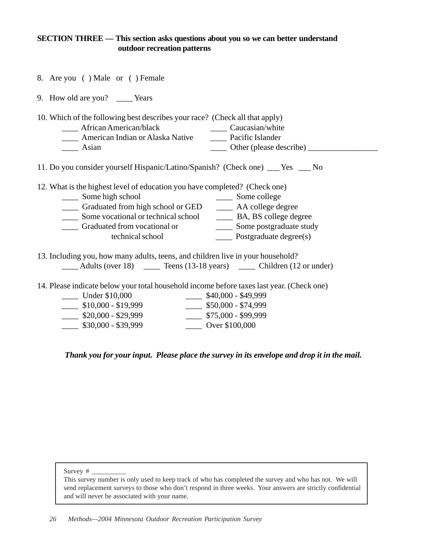#### **SECTION THREE — This section asks questions about you so we can better understand outdoor recreation patterns**

- 8. Are you ( ) Male or ( ) Female
- 9. How old are you? \_\_\_\_ Years
- 10. Which of the following best describes your race? (Check all that apply)
	- \_\_\_\_ African American/black \_\_\_\_ Caucasian/white \_\_\_\_ American Indian or Alaska Native \_\_\_\_ Pacific Islander \_\_\_\_ Asian \_\_\_\_ Other (please describe) \_\_\_\_\_\_\_\_\_\_\_\_\_\_\_\_\_
- 11. Do you consider yourself Hispanic/Latino/Spanish? (Check one) \_\_\_ Yes \_\_\_ No

12. What is the highest level of education you have completed? (Check one)

- \_\_\_\_ Some high school \_\_\_\_ Some college Graduated from high school or GED <br>
Some vocational or technical school <br>
<u>
BA, BS</u> college degree \_\_\_\_\_ Some vocational or technical school \_\_\_\_\_\_\_\_ BA, BS college degree<br>
Graduated from vocational or \_\_\_\_\_\_\_ Some postgraduate study \_\_\_\_\_ Graduated from vocational or technical school \_\_\_\_ Postgraduate degree(s)
- 13. Including you, how many adults, teens, and children live in your household? \_\_\_\_ Adults (over 18) \_\_\_\_ Teens (13-18 years) \_\_\_\_ Children (12 or under)
- 14. Please indicate below your total household income before taxes last year. (Check one)

| Under \$10,000      | $$40,000 - $49,999$ |
|---------------------|---------------------|
| $$10,000 - $19,999$ | $$50,000 - $74,999$ |
| $$20,000 - $29,999$ | $$75,000 - $99,999$ |
| $$30,000 - $39,999$ | Over \$100,000      |

*Thank you for your input. Please place the survey in its envelope and drop it in the mail.*

Survey # \_\_\_\_\_\_\_\_\_\_

This survey number is only used to keep track of who has completed the survey and who has not. We will send replacement surveys to those who don't respond in three weeks. Your answers are strictly confidential and will never be associated with your name.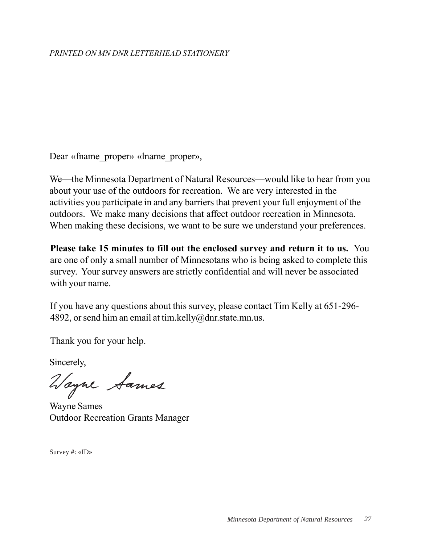# *PRINTED ON MN DNR LETTERHEAD STATIONERY*

Dear «fname\_proper» «lname\_proper»,

We—the Minnesota Department of Natural Resources—would like to hear from you about your use of the outdoors for recreation. We are very interested in the activities you participate in and any barriers that prevent your full enjoyment of the outdoors. We make many decisions that affect outdoor recreation in Minnesota. When making these decisions, we want to be sure we understand your preferences.

**Please take 15 minutes to fill out the enclosed survey and return it to us.** You are one of only a small number of Minnesotans who is being asked to complete this survey. Your survey answers are strictly confidential and will never be associated with your name.

If you have any questions about this survey, please contact Tim Kelly at 651-296- 4892, or send him an email at tim.kelly@dnr.state.mn.us.

Thank you for your help.

Sincerely,

Wayne Sames

Outdoor Recreation Grants Manager

Survey #: «ID»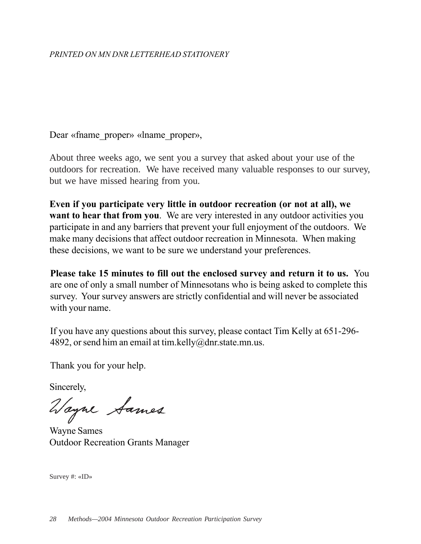Dear «fname proper» «lname proper»,

About three weeks ago, we sent you a survey that asked about your use of the outdoors for recreation. We have received many valuable responses to our survey, but we have missed hearing from you.

**Even if you participate very little in outdoor recreation (or not at all), we want to hear that from you.** We are very interested in any outdoor activities you participate in and any barriers that prevent your full enjoyment of the outdoors. We make many decisions that affect outdoor recreation in Minnesota. When making these decisions, we want to be sure we understand your preferences.

**Please take 15 minutes to fill out the enclosed survey and return it to us.** You are one of only a small number of Minnesotans who is being asked to complete this survey. Your survey answers are strictly confidential and will never be associated with your name.

If you have any questions about this survey, please contact Tim Kelly at 651-296- 4892, or send him an email at tim.kelly@dnr.state.mn.us.

Thank you for your help.

Sincerely,

Wayne Sames

Wayne Sames Outdoor Recreation Grants Manager

Survey #: «ID»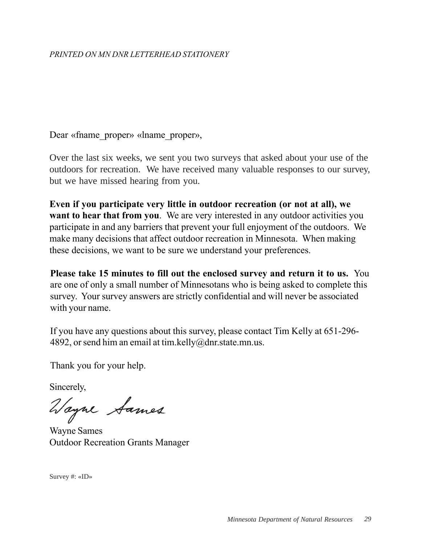Dear «fname proper» «lname proper»,

Over the last six weeks, we sent you two surveys that asked about your use of the outdoors for recreation. We have received many valuable responses to our survey, but we have missed hearing from you.

**Even if you participate very little in outdoor recreation (or not at all), we want to hear that from you.** We are very interested in any outdoor activities you participate in and any barriers that prevent your full enjoyment of the outdoors. We make many decisions that affect outdoor recreation in Minnesota. When making these decisions, we want to be sure we understand your preferences.

**Please take 15 minutes to fill out the enclosed survey and return it to us.** You are one of only a small number of Minnesotans who is being asked to complete this survey. Your survey answers are strictly confidential and will never be associated with your name.

If you have any questions about this survey, please contact Tim Kelly at 651-296- 4892, or send him an email at tim.kelly@dnr.state.mn.us.

Thank you for your help.

Sincerely,

Vayne Sames

Wayne Sames Outdoor Recreation Grants Manager

Survey #: «ID»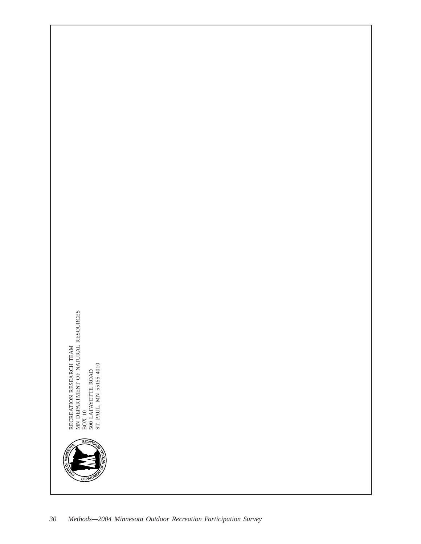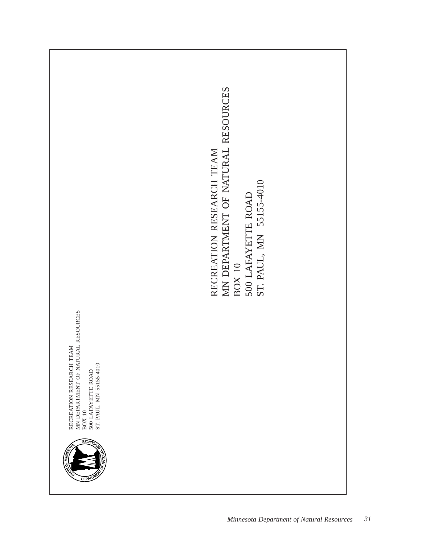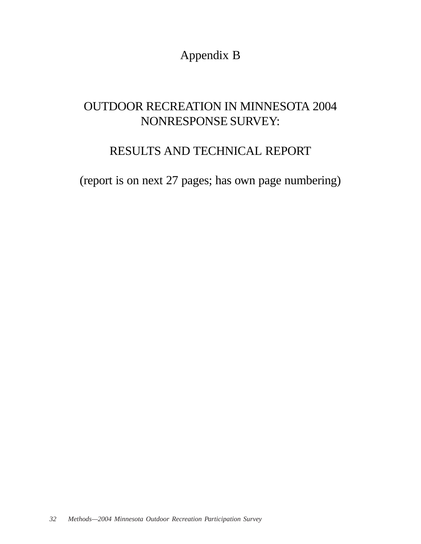Appendix B

# OUTDOOR RECREATION IN MINNESOTA 2004 NONRESPONSE SURVEY:

# RESULTS AND TECHNICAL REPORT

(report is on next 27 pages; has own page numbering)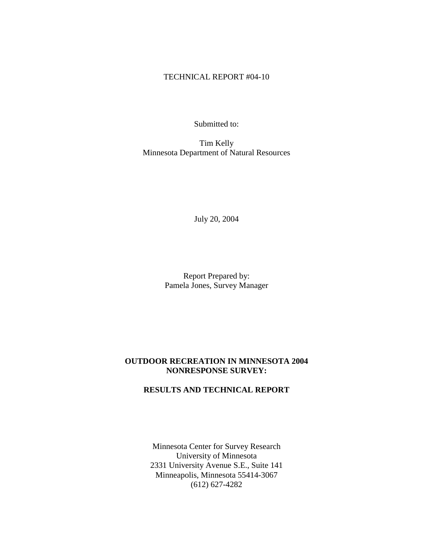#### TECHNICAL REPORT #04-10

Submitted to:

Tim Kelly Minnesota Department of Natural Resources

July 20, 2004

Report Prepared by: Pamela Jones, Survey Manager

#### **OUTDOOR RECREATION IN MINNESOTA 2004 NONRESPONSE SURVEY:**

# **RESULTS AND TECHNICAL REPORT**

Minnesota Center for Survey Research University of Minnesota 2331 University Avenue S.E., Suite 141 Minneapolis, Minnesota 55414-3067 (612) 627-4282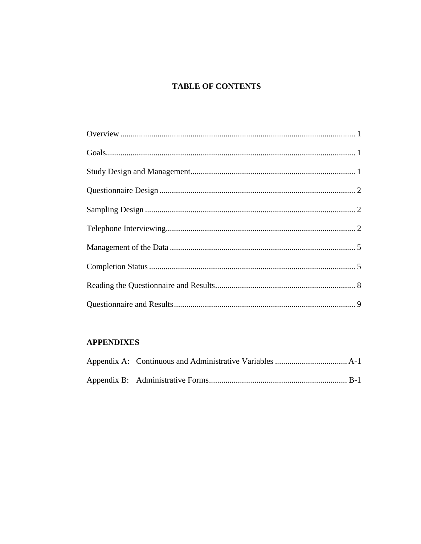# **TABLE OF CONTENTS**

# **APPENDIXES**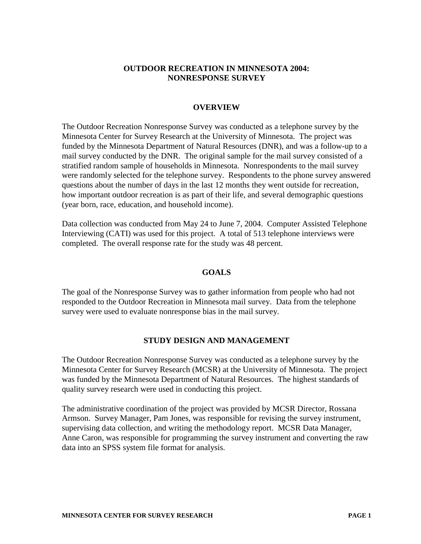#### **OUTDOOR RECREATION IN MINNESOTA 2004: NONRESPONSE SURVEY**

#### **OVERVIEW**

The Outdoor Recreation Nonresponse Survey was conducted as a telephone survey by the Minnesota Center for Survey Research at the University of Minnesota. The project was funded by the Minnesota Department of Natural Resources (DNR), and was a follow-up to a mail survey conducted by the DNR. The original sample for the mail survey consisted of a stratified random sample of households in Minnesota. Nonrespondents to the mail survey were randomly selected for the telephone survey. Respondents to the phone survey answered questions about the number of days in the last 12 months they went outside for recreation, how important outdoor recreation is as part of their life, and several demographic questions (year born, race, education, and household income).

Data collection was conducted from May 24 to June 7, 2004. Computer Assisted Telephone Interviewing (CATI) was used for this project. A total of 513 telephone interviews were completed. The overall response rate for the study was 48 percent.

#### **GOALS**

The goal of the Nonresponse Survey was to gather information from people who had not responded to the Outdoor Recreation in Minnesota mail survey. Data from the telephone survey were used to evaluate nonresponse bias in the mail survey.

#### **STUDY DESIGN AND MANAGEMENT**

The Outdoor Recreation Nonresponse Survey was conducted as a telephone survey by the Minnesota Center for Survey Research (MCSR) at the University of Minnesota. The project was funded by the Minnesota Department of Natural Resources. The highest standards of quality survey research were used in conducting this project.

The administrative coordination of the project was provided by MCSR Director, Rossana Armson. Survey Manager, Pam Jones, was responsible for revising the survey instrument, supervising data collection, and writing the methodology report. MCSR Data Manager, Anne Caron, was responsible for programming the survey instrument and converting the raw data into an SPSS system file format for analysis.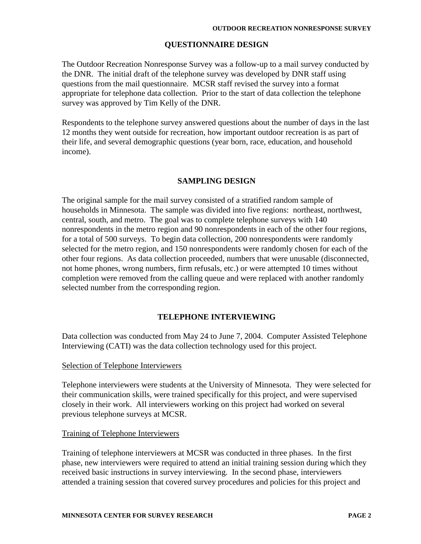#### **QUESTIONNAIRE DESIGN**

The Outdoor Recreation Nonresponse Survey was a follow-up to a mail survey conducted by the DNR. The initial draft of the telephone survey was developed by DNR staff using questions from the mail questionnaire. MCSR staff revised the survey into a format appropriate for telephone data collection. Prior to the start of data collection the telephone survey was approved by Tim Kelly of the DNR.

Respondents to the telephone survey answered questions about the number of days in the last 12 months they went outside for recreation, how important outdoor recreation is as part of their life, and several demographic questions (year born, race, education, and household income).

#### **SAMPLING DESIGN**

The original sample for the mail survey consisted of a stratified random sample of households in Minnesota. The sample was divided into five regions: northeast, northwest, central, south, and metro. The goal was to complete telephone surveys with 140 nonrespondents in the metro region and 90 nonrespondents in each of the other four regions, for a total of 500 surveys. To begin data collection, 200 nonrespondents were randomly selected for the metro region, and 150 nonrespondents were randomly chosen for each of the other four regions. As data collection proceeded, numbers that were unusable (disconnected, not home phones, wrong numbers, firm refusals, etc.) or were attempted 10 times without completion were removed from the calling queue and were replaced with another randomly selected number from the corresponding region.

#### **TELEPHONE INTERVIEWING**

Data collection was conducted from May 24 to June 7, 2004. Computer Assisted Telephone Interviewing (CATI) was the data collection technology used for this project.

#### Selection of Telephone Interviewers

Telephone interviewers were students at the University of Minnesota. They were selected for their communication skills, were trained specifically for this project, and were supervised closely in their work. All interviewers working on this project had worked on several previous telephone surveys at MCSR.

#### Training of Telephone Interviewers

Training of telephone interviewers at MCSR was conducted in three phases. In the first phase, new interviewers were required to attend an initial training session during which they received basic instructions in survey interviewing. In the second phase, interviewers attended a training session that covered survey procedures and policies for this project and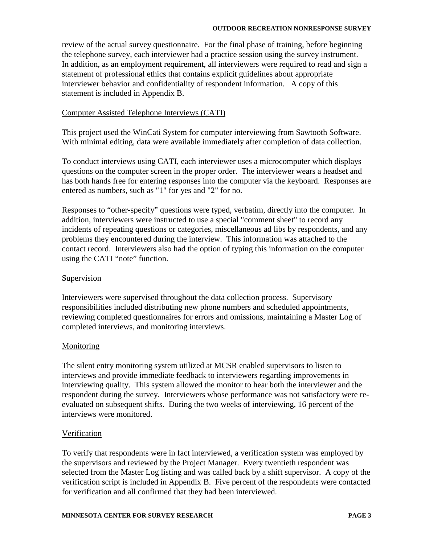review of the actual survey questionnaire. For the final phase of training, before beginning the telephone survey, each interviewer had a practice session using the survey instrument. In addition, as an employment requirement, all interviewers were required to read and sign a statement of professional ethics that contains explicit guidelines about appropriate interviewer behavior and confidentiality of respondent information. A copy of this statement is included in Appendix B.

#### Computer Assisted Telephone Interviews (CATI)

This project used the WinCati System for computer interviewing from Sawtooth Software. With minimal editing, data were available immediately after completion of data collection.

To conduct interviews using CATI, each interviewer uses a microcomputer which displays questions on the computer screen in the proper order. The interviewer wears a headset and has both hands free for entering responses into the computer via the keyboard. Responses are entered as numbers, such as "1" for yes and "2" for no.

Responses to "other-specify" questions were typed, verbatim, directly into the computer. In addition, interviewers were instructed to use a special "comment sheet" to record any incidents of repeating questions or categories, miscellaneous ad libs by respondents, and any problems they encountered during the interview. This information was attached to the contact record. Interviewers also had the option of typing this information on the computer using the CATI "note" function.

#### Supervision

Interviewers were supervised throughout the data collection process. Supervisory responsibilities included distributing new phone numbers and scheduled appointments, reviewing completed questionnaires for errors and omissions, maintaining a Master Log of completed interviews, and monitoring interviews.

#### **Monitoring**

The silent entry monitoring system utilized at MCSR enabled supervisors to listen to interviews and provide immediate feedback to interviewers regarding improvements in interviewing quality. This system allowed the monitor to hear both the interviewer and the respondent during the survey. Interviewers whose performance was not satisfactory were reevaluated on subsequent shifts. During the two weeks of interviewing, 16 percent of the interviews were monitored.

#### **Verification**

To verify that respondents were in fact interviewed, a verification system was employed by the supervisors and reviewed by the Project Manager. Every twentieth respondent was selected from the Master Log listing and was called back by a shift supervisor. A copy of the verification script is included in Appendix B. Five percent of the respondents were contacted for verification and all confirmed that they had been interviewed.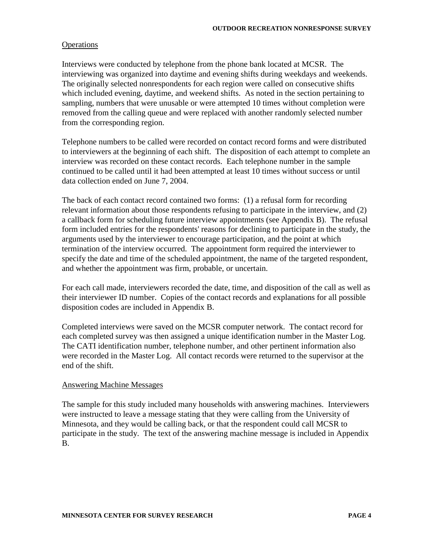#### **Operations**

Interviews were conducted by telephone from the phone bank located at MCSR. The interviewing was organized into daytime and evening shifts during weekdays and weekends. The originally selected nonrespondents for each region were called on consecutive shifts which included evening, daytime, and weekend shifts. As noted in the section pertaining to sampling, numbers that were unusable or were attempted 10 times without completion were removed from the calling queue and were replaced with another randomly selected number from the corresponding region.

Telephone numbers to be called were recorded on contact record forms and were distributed to interviewers at the beginning of each shift. The disposition of each attempt to complete an interview was recorded on these contact records. Each telephone number in the sample continued to be called until it had been attempted at least 10 times without success or until data collection ended on June 7, 2004.

The back of each contact record contained two forms: (1) a refusal form for recording relevant information about those respondents refusing to participate in the interview, and (2) a callback form for scheduling future interview appointments (see Appendix B). The refusal form included entries for the respondents' reasons for declining to participate in the study, the arguments used by the interviewer to encourage participation, and the point at which termination of the interview occurred. The appointment form required the interviewer to specify the date and time of the scheduled appointment, the name of the targeted respondent, and whether the appointment was firm, probable, or uncertain.

For each call made, interviewers recorded the date, time, and disposition of the call as well as their interviewer ID number. Copies of the contact records and explanations for all possible disposition codes are included in Appendix B.

Completed interviews were saved on the MCSR computer network. The contact record for each completed survey was then assigned a unique identification number in the Master Log. The CATI identification number, telephone number, and other pertinent information also were recorded in the Master Log. All contact records were returned to the supervisor at the end of the shift.

#### Answering Machine Messages

The sample for this study included many households with answering machines. Interviewers were instructed to leave a message stating that they were calling from the University of Minnesota, and they would be calling back, or that the respondent could call MCSR to participate in the study. The text of the answering machine message is included in Appendix B.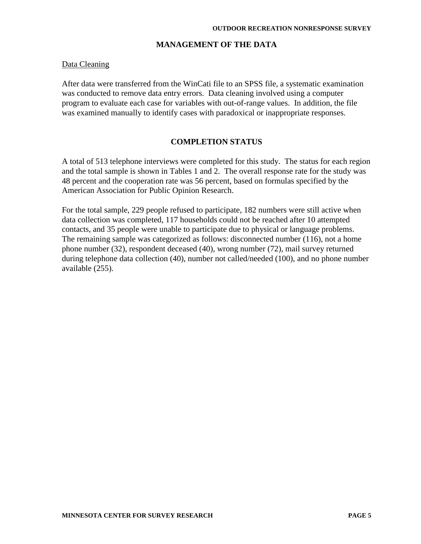#### **MANAGEMENT OF THE DATA**

#### Data Cleaning

After data were transferred from the WinCati file to an SPSS file, a systematic examination was conducted to remove data entry errors. Data cleaning involved using a computer program to evaluate each case for variables with out-of-range values. In addition, the file was examined manually to identify cases with paradoxical or inappropriate responses.

#### **COMPLETION STATUS**

A total of 513 telephone interviews were completed for this study. The status for each region and the total sample is shown in Tables 1 and 2. The overall response rate for the study was 48 percent and the cooperation rate was 56 percent, based on formulas specified by the American Association for Public Opinion Research.

For the total sample, 229 people refused to participate, 182 numbers were still active when data collection was completed, 117 households could not be reached after 10 attempted contacts, and 35 people were unable to participate due to physical or language problems. The remaining sample was categorized as follows: disconnected number (116), not a home phone number (32), respondent deceased (40), wrong number (72), mail survey returned during telephone data collection (40), number not called/needed (100), and no phone number available (255).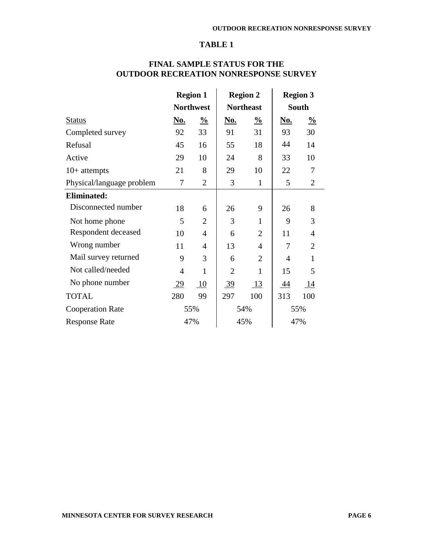#### **TABLE 1**

|                                | <b>Region 1</b>  |                | <b>Region 2</b>  |                | <b>Region 3</b> |                |
|--------------------------------|------------------|----------------|------------------|----------------|-----------------|----------------|
|                                | <b>Northwest</b> |                | <b>Northeast</b> |                | <b>South</b>    |                |
| <b>Status</b>                  | No.              | $\frac{0}{0}$  | <b>No.</b>       | $\frac{0}{0}$  | <b>No.</b>      | $\frac{0}{0}$  |
| Completed survey               | 92               | 33             | 91               | 31             | 93              | 30             |
| Refusal                        | 45               | 16             | 55               | 18             | 44              | 14             |
| Active                         | 29               | 10             | 24               | 8              | 33              | 10             |
| $10+$ attempts                 | 21               | 8              | 29               | 10             | 22              | 7              |
| Physical/language problem      | 7                | $\overline{2}$ | 3                | $\mathbf{1}$   | 5               | 2              |
| <b>Eliminated:</b>             |                  |                |                  |                |                 |                |
| Disconnected number            | 18               | 6              | 26               | 9              | 26              | 8              |
| Not home phone                 | 5                | $\overline{2}$ | 3                | $\mathbf{1}$   | 9               | 3              |
| Respondent deceased            | 10               | 4              | 6                | $\overline{2}$ | 11              | $\overline{4}$ |
| Wrong number                   | 11               | 4              | 13               | 4              | 7               | $\overline{2}$ |
| Mail survey returned           | 9                | 3              | 6                | $\overline{2}$ | $\overline{4}$  | $\mathbf{1}$   |
| Not called/needed              | 4                | 1              | $\overline{2}$   | 1              | 15              | 5              |
| No phone number                | <u>29</u>        | 10             | <u>39</u>        | <u>13</u>      | <u>44</u>       | 14             |
| <b>TOTAL</b>                   | 280              | 99             | 297              | 100            | 313             | 100            |
| <b>Cooperation Rate</b><br>55% |                  | 54%            |                  | 55%            |                 |                |
| <b>Response Rate</b>           | 47%              |                |                  | 45%            |                 | 47%            |

# **FINAL SAMPLE STATUS FOR THE OUTDOOR RECREATION NONRESPONSE SURVEY**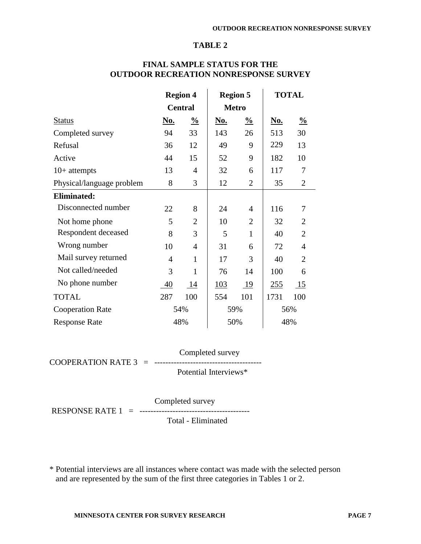#### **TABLE 2**

|                             | <b>Region 4</b> |                |            | <b>Region 5</b>  | <b>TOTAL</b> |                  |
|-----------------------------|-----------------|----------------|------------|------------------|--------------|------------------|
|                             |                 | <b>Central</b> |            | <b>Metro</b>     |              |                  |
| <b>Status</b>               | <u>No.</u>      | $\frac{0}{0}$  | <u>No.</u> | $\frac{0}{0}$    | <u>No.</u>   | $\frac{0}{0}$    |
| Completed survey            | 94              | 33             | 143        | 26               | 513          | 30               |
| Refusal                     | 36              | 12             | 49         | 9                | 229          | 13               |
| Active                      | 44              | 15             | 52         | 9                | 182          | 10               |
| $10+$ attempts              | 13              | $\overline{4}$ | 32         | 6                | 117          | 7                |
| Physical/language problem   | 8               | 3              | 12         | $\overline{2}$   | 35           | $\overline{2}$   |
| <b>Eliminated:</b>          |                 |                |            |                  |              |                  |
| Disconnected number         | 22              | 8              | 24         | $\overline{4}$   | 116          | 7                |
| Not home phone              | 5               | $\overline{2}$ | 10         | $\overline{2}$   | 32           | $\overline{2}$   |
| Respondent deceased         | 8               | 3              | 5          | 1                | 40           | $\overline{2}$   |
| Wrong number                | 10              | $\overline{4}$ | 31         | 6                | 72           | $\overline{4}$   |
| Mail survey returned        | $\overline{4}$  | $\mathbf{1}$   | 17         | 3                | 40           | $\overline{2}$   |
| Not called/needed           | 3               | $\mathbf{1}$   | 76         | 14               | 100          | 6                |
| No phone number             | 40              | 14             | 103        | $\underline{19}$ | 255          | $\underline{15}$ |
| <b>TOTAL</b>                | 287             | 100            | 554        | 101              | 1731         | 100              |
| <b>Cooperation Rate</b>     |                 | 54%            |            | 59%              |              | 56%              |
| 48%<br><b>Response Rate</b> |                 |                | 50%        |                  | 48%          |                  |

### **FINAL SAMPLE STATUS FOR THE OUTDOOR RECREATION NONRESPONSE SURVEY**

 Completed survey COOPERATION RATE 3 = ---------------------------------------

Potential Interviews\*

 Completed survey RESPONSE RATE 1 = ---------------------------------------- Total - Eliminated

\* Potential interviews are all instances where contact was made with the selected person and are represented by the sum of the first three categories in Tables 1 or 2.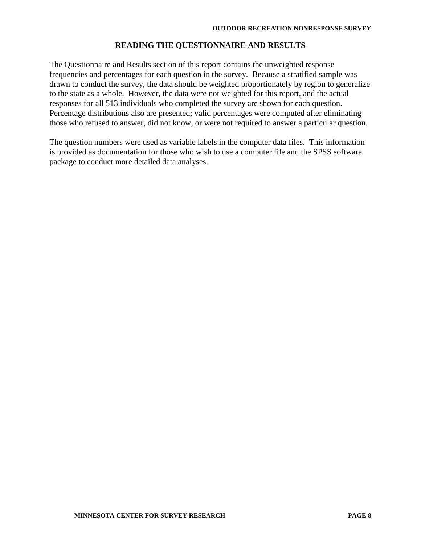#### **READING THE QUESTIONNAIRE AND RESULTS**

The Questionnaire and Results section of this report contains the unweighted response frequencies and percentages for each question in the survey. Because a stratified sample was drawn to conduct the survey, the data should be weighted proportionately by region to generalize to the state as a whole. However, the data were not weighted for this report, and the actual responses for all 513 individuals who completed the survey are shown for each question. Percentage distributions also are presented; valid percentages were computed after eliminating those who refused to answer, did not know, or were not required to answer a particular question.

The question numbers were used as variable labels in the computer data files. This information is provided as documentation for those who wish to use a computer file and the SPSS software package to conduct more detailed data analyses.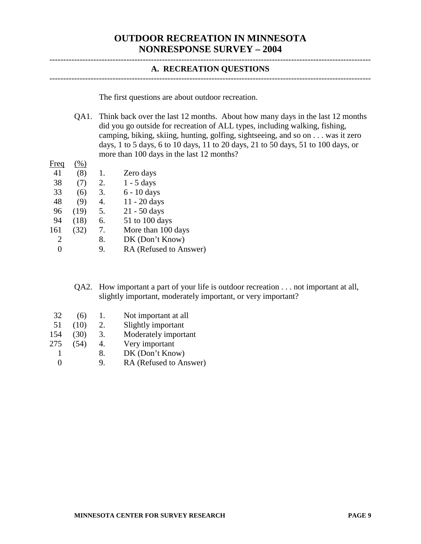# **OUTDOOR RECREATION IN MINNESOTA NONRESPONSE SURVEY – 2004**

#### **A. RECREATION QUESTIONS**

---------------------------------------------------------------------------------------------------------------------

---------------------------------------------------------------------------------------------------------------------

The first questions are about outdoor recreation.

QA1. Think back over the last 12 months. About how many days in the last 12 months did you go outside for recreation of ALL types, including walking, fishing, camping, biking, skiing, hunting, golfing, sightseeing, and so on . . . was it zero days, 1 to 5 days, 6 to 10 days, 11 to 20 days, 21 to 50 days, 51 to 100 days, or more than 100 days in the last 12 months?

| Freq | $%$ ) |    |                        |
|------|-------|----|------------------------|
| 41   | (8)   | 1. | Zero days              |
| 38   | (7)   | 2. | $1 - 5$ days           |
| 33   | (6)   | 3. | 6 - 10 days            |
| 48   | (9)   | 4. | $11 - 20$ days         |
| 96   | (19)  | 5. | 21 - 50 days           |
| 94   | (18)  | 6. | 51 to 100 days         |
| 161  | (32)  | 7. | More than 100 days     |
| 2    |       | 8. | DK (Don't Know)        |
| 0    |       | 9. | RA (Refused to Answer) |
|      |       |    |                        |

QA2. How important a part of your life is outdoor recreation . . . not important at all, slightly important, moderately important, or very important?

- 32 (6) 1. Not important at all
- 51 (10) 2. Slightly important
- 154 (30) 3. Moderately important
- 275 (54) 4. Very important
- 1 8. DK (Don't Know)
- 0 9. RA (Refused to Answer)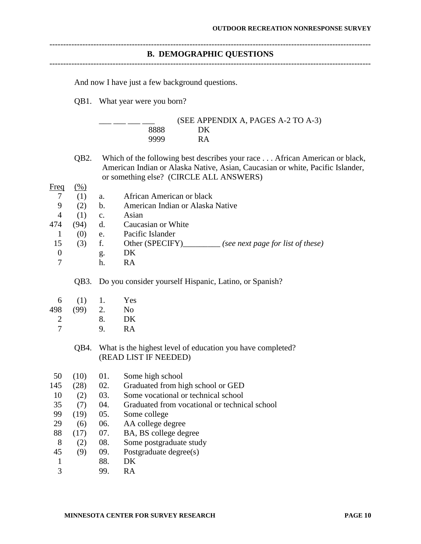|                     |                   | <b>B. DEMOGRAPHIC QUESTIONS</b><br>--------------------------------                                                                                                                                     |
|---------------------|-------------------|---------------------------------------------------------------------------------------------------------------------------------------------------------------------------------------------------------|
|                     |                   | And now I have just a few background questions.                                                                                                                                                         |
|                     |                   | QB1. What year were you born?                                                                                                                                                                           |
|                     |                   | (SEE APPENDIX A, PAGES A-2 TO A-3)                                                                                                                                                                      |
|                     |                   | 8888<br>DK                                                                                                                                                                                              |
|                     |                   | <b>RA</b><br>9999                                                                                                                                                                                       |
|                     | QB <sub>2</sub> . | Which of the following best describes your race African American or black,<br>American Indian or Alaska Native, Asian, Caucasian or white, Pacific Islander,<br>or something else? (CIRCLE ALL ANSWERS) |
| <b>Freq</b>         | $\frac{(0)}{6}$   |                                                                                                                                                                                                         |
| $\tau$              | (1)               | African American or black<br>a.                                                                                                                                                                         |
| 9                   | (2)               | American Indian or Alaska Native<br>$\mathbf b$ .                                                                                                                                                       |
| $\overline{4}$      | (1)               | Asian<br>$\mathbf{c}$ .                                                                                                                                                                                 |
| 474<br>$\mathbf{1}$ | (94)              | Caucasian or White<br>d.<br>Pacific Islander                                                                                                                                                            |
| 15                  | (0)<br>(3)        | e.<br>f.<br>Other (SPECIFY)________ (see next page for list of these)                                                                                                                                   |
| $\boldsymbol{0}$    |                   | DK                                                                                                                                                                                                      |
| $\overline{7}$      |                   | g.<br>RA<br>h.                                                                                                                                                                                          |
|                     | QB3.              | Do you consider yourself Hispanic, Latino, or Spanish?                                                                                                                                                  |
| 6                   | (1)               | Yes<br>1.                                                                                                                                                                                               |
| 498                 | (99)              | 2.<br>No                                                                                                                                                                                                |
| 2                   |                   | 8.<br>DK                                                                                                                                                                                                |
| $\overline{7}$      |                   | <b>RA</b><br>9.                                                                                                                                                                                         |
|                     | QB4.              | What is the highest level of education you have completed?<br>(READ LIST IF NEEDED)                                                                                                                     |
| 50                  | (10)              | 01.<br>Some high school                                                                                                                                                                                 |
| 145                 | (28)              | 02.<br>Graduated from high school or GED                                                                                                                                                                |
| 10                  | (2)               | Some vocational or technical school<br>03.                                                                                                                                                              |
| 35                  | (7)               | 04.<br>Graduated from vocational or technical school                                                                                                                                                    |
| 99                  | (19)              | 05.<br>Some college                                                                                                                                                                                     |
| 29                  | (6)               | 06.<br>AA college degree                                                                                                                                                                                |
| 88                  | (17)              | 07.<br>BA, BS college degree                                                                                                                                                                            |
| 8                   | (2)               | 08.<br>Some postgraduate study                                                                                                                                                                          |
| 45                  | (9)               | 09.<br>Postgraduate degree(s)                                                                                                                                                                           |
| 1                   |                   | 88.<br>DK                                                                                                                                                                                               |
| 3                   |                   | 99.<br>RA                                                                                                                                                                                               |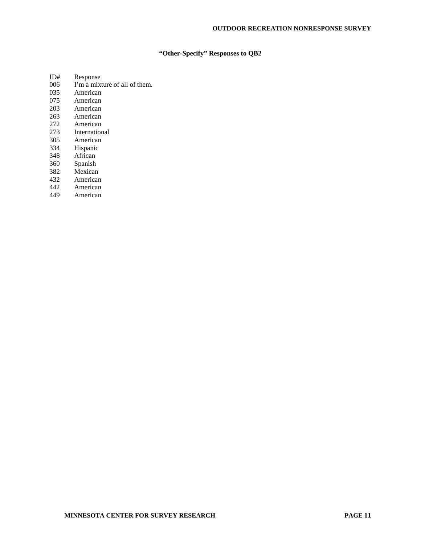#### **"Other-Specify" Responses to QB2**

| 11)# | Response                      |
|------|-------------------------------|
| 006  | I'm a mixture of all of them. |
| 035  | American                      |
| 075  | American                      |
| 203  | American                      |
| 263  | American                      |
| 272  | American                      |
| 273  | International                 |
| 305  | American                      |
| 334  | Hispanic                      |
| 348  | African                       |
| 360  | Spanish                       |
| 382  | Mexican                       |
| 432  | American                      |
| 442  | American                      |
| 449  | American                      |
|      |                               |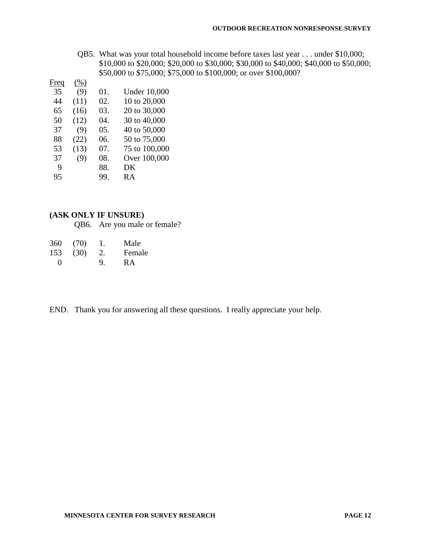QB5. What was your total household income before taxes last year . . . under \$10,000; \$10,000 to \$20,000; \$20,000 to \$30,000; \$30,000 to \$40,000; \$40,000 to \$50,000; \$50,000 to \$75,000; \$75,000 to \$100,000; or over \$100,000?

| Freq | (% ) |     |                     |
|------|------|-----|---------------------|
| 35   | (9)  | 01. | <b>Under 10,000</b> |
| 44   | (11) | 02. | 10 to 20,000        |
| 65   | (16) | 03. | 20 to 30,000        |
| 50   | (12) | 04. | 30 to 40,000        |
| 37   | (9)  | 05. | 40 to 50,000        |
| 88   | (22) | 06. | 50 to 75,000        |
| 53   | (13) | 07. | 75 to 100,000       |
| 37   | (9)  | 08. | Over 100,000        |
| 9    |      | 88. | DK                  |
| 95   |      | 99. | R A                 |
|      |      |     |                     |

#### **(ASK ONLY IF UNSURE)**

QB6. Are you male or female?

| 360               | (70) | Ι. | Male   |
|-------------------|------|----|--------|
| 153               | (30) | 2. | Female |
| $\mathbf{\Omega}$ |      | 9. | RА     |

END. Thank you for answering all these questions. I really appreciate your help.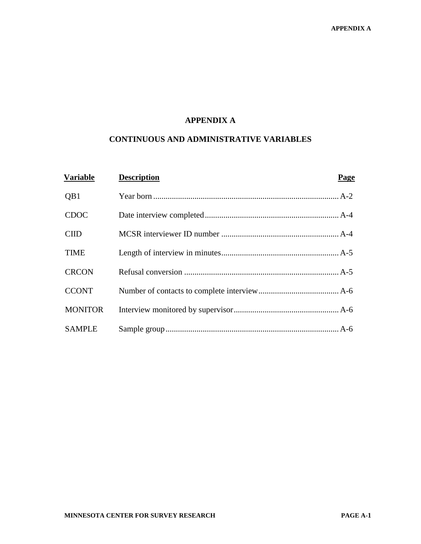# **APPENDIX A**

# **CONTINUOUS AND ADMINISTRATIVE VARIABLES**

| <b>Variable</b> | <b>Description</b> | Page |
|-----------------|--------------------|------|
| QB1             |                    |      |
| <b>CDOC</b>     |                    |      |
| <b>CIID</b>     |                    |      |
| <b>TIME</b>     |                    |      |
| <b>CRCON</b>    |                    |      |
| <b>CCONT</b>    |                    |      |
| <b>MONITOR</b>  |                    |      |
| <b>SAMPLE</b>   |                    |      |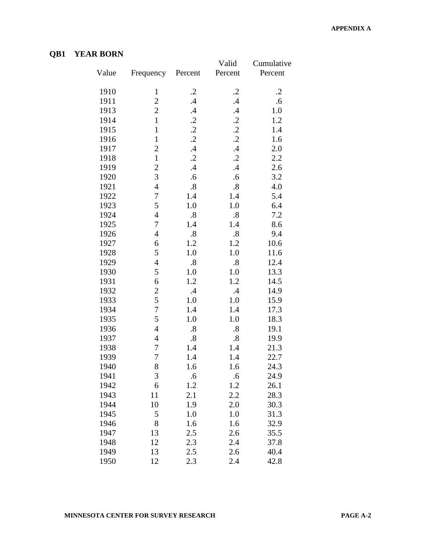# **QB1 YEAR BORN**

|       |                |                   | Valid             | Cumulative |
|-------|----------------|-------------------|-------------------|------------|
| Value | Frequency      | Percent           | Percent           | Percent    |
| 1910  | $\mathbf{1}$   | $\cdot$ .2        | $\cdot$ .2        | $\cdot$    |
| 1911  | $\overline{c}$ | $\cdot$           | .4                | .6         |
| 1913  | $\overline{c}$ | $\mathcal{A}$     | $\mathcal{A}$     | 1.0        |
| 1914  | $\mathbf{1}$   | $\cdot$           | $\cdot$           | 1.2        |
| 1915  | $\mathbf{1}$   | $\cdot$           | $\cdot$ 2         | 1.4        |
| 1916  | $\mathbf{1}$   | $\cdot$           | $\cdot$           | 1.6        |
| 1917  | $\overline{c}$ | $\cdot$           | $\mathcal{A}$     | 2.0        |
| 1918  | $\mathbf{1}$   | $\cdot$           | $\cdot$ 2         | 2.2        |
| 1919  | $\overline{c}$ | $\mathcal{A}$     | $\mathcal{A}$     | 2.6        |
| 1920  | 3              | .6                | .6                | 3.2        |
| 1921  | $\overline{4}$ | $\boldsymbol{.8}$ | $\boldsymbol{.8}$ | 4.0        |
| 1922  | $\overline{7}$ | 1.4               | 1.4               | 5.4        |
| 1923  | 5              | 1.0               | 1.0               | 6.4        |
| 1924  | $\overline{4}$ | $\boldsymbol{.8}$ | $\boldsymbol{.8}$ | 7.2        |
| 1925  | 7              | 1.4               | 1.4               | 8.6        |
| 1926  | $\overline{4}$ | $\boldsymbol{.8}$ | $\boldsymbol{.8}$ | 9.4        |
| 1927  | 6              | 1.2               | 1.2               | 10.6       |
| 1928  | 5              | 1.0               | 1.0               | 11.6       |
| 1929  | $\overline{4}$ | $\boldsymbol{.8}$ | $\boldsymbol{.8}$ | 12.4       |
| 1930  | 5              | 1.0               | $1.0\,$           | 13.3       |
| 1931  | 6              | 1.2               | 1.2               | 14.5       |
| 1932  | $\overline{c}$ | $\cdot$           | $\cdot$           | 14.9       |
| 1933  | 5              | 1.0               | 1.0               | 15.9       |
| 1934  | $\overline{7}$ | 1.4               | 1.4               | 17.3       |
| 1935  | 5              | 1.0               | 1.0               | 18.3       |
| 1936  | $\overline{4}$ | $\boldsymbol{.8}$ | $\boldsymbol{.8}$ | 19.1       |
| 1937  | 4              | .8                | $\boldsymbol{.8}$ | 19.9       |
| 1938  | $\overline{7}$ | 1.4               | 1.4               | 21.3       |
| 1939  | $\overline{7}$ | 1.4               | 1.4               | 22.7       |
| 1940  | 8              | 1.6               | 1.6               | 24.3       |
| 1941  | $\mathfrak{Z}$ | .6                | .6                | 24.9       |
| 1942  | 6              | 1.2               | 1.2               | 26.1       |
| 1943  | 11             | 2.1               | 2.2               | 28.3       |
| 1944  | 10             | 1.9               | 2.0               | 30.3       |
| 1945  | 5              | 1.0               | 1.0               | 31.3       |
| 1946  | 8              | 1.6               | 1.6               | 32.9       |
| 1947  | 13             | 2.5               | 2.6               | 35.5       |
| 1948  | 12             | 2.3               | 2.4               | 37.8       |
| 1949  | 13             | 2.5               | 2.6               | 40.4       |
| 1950  | 12             | 2.3               | 2.4               | 42.8       |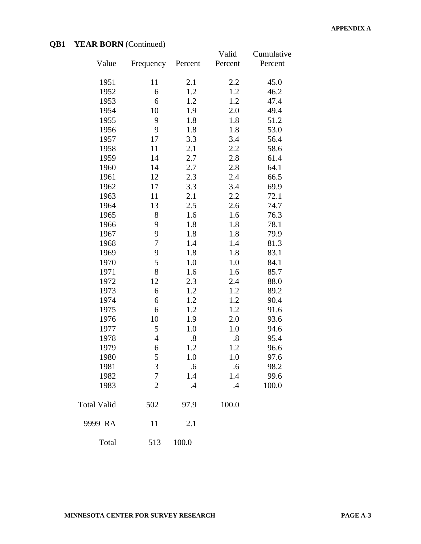# **QB1 YEAR BORN** (Continued)

|                    |                |                   | Valid             | Cumulative |
|--------------------|----------------|-------------------|-------------------|------------|
| Value              | Frequency      | Percent           | Percent           | Percent    |
| 1951               | 11             | 2.1               | 2.2               | 45.0       |
| 1952               | 6              | 1.2               | 1.2               | 46.2       |
| 1953               | 6              | 1.2               | 1.2               | 47.4       |
| 1954               | 10             | 1.9               | 2.0               | 49.4       |
| 1955               | 9              | 1.8               | 1.8               | 51.2       |
| 1956               | 9              | 1.8               | 1.8               | 53.0       |
| 1957               | 17             | 3.3               | 3.4               | 56.4       |
| 1958               | 11             | 2.1               | 2.2               | 58.6       |
| 1959               | 14             | 2.7               | 2.8               | 61.4       |
| 1960               | 14             | 2.7               | 2.8               | 64.1       |
| 1961               | 12             | 2.3               | 2.4               | 66.5       |
| 1962               | 17             | 3.3               | 3.4               | 69.9       |
| 1963               | 11             | 2.1               | 2.2               | 72.1       |
| 1964               | 13             | 2.5               | 2.6               | 74.7       |
| 1965               | 8              | 1.6               | 1.6               | 76.3       |
| 1966               | 9              | 1.8               | 1.8               | 78.1       |
| 1967               | 9              | 1.8               | 1.8               | 79.9       |
| 1968               | $\overline{7}$ | 1.4               | 1.4               | 81.3       |
| 1969               | 9              | 1.8               | 1.8               | 83.1       |
| 1970               | 5              | 1.0               | 1.0               | 84.1       |
| 1971               | 8              | 1.6               | 1.6               | 85.7       |
| 1972               | 12             | 2.3               | 2.4               | 88.0       |
| 1973               | 6              | 1.2               | 1.2               | 89.2       |
| 1974               | 6              | 1.2               | 1.2               | 90.4       |
| 1975               | 6              | 1.2               | 1.2               | 91.6       |
| 1976               | 10             | 1.9               | 2.0               | 93.6       |
| 1977               | 5              | 1.0               | 1.0               | 94.6       |
| 1978               | $\overline{4}$ | $\boldsymbol{.8}$ | $\boldsymbol{.8}$ | 95.4       |
| 1979               | 6              | 1.2               | 1.2               | 96.6       |
| 1980               | 5              | 1.0               | 1.0               | 97.6       |
| 1981               | 3              | .6                | .6                | 98.2       |
| 1982               | $\tau$         | 1.4               | 1.4               | 99.6       |
| 1983               | $\overline{2}$ | $\cdot$           | $\mathcal{A}$     | 100.0      |
| <b>Total Valid</b> | 502            | 97.9              | 100.0             |            |
| 9999 RA            | 11             | 2.1               |                   |            |
| Total              | 513            | 100.0             |                   |            |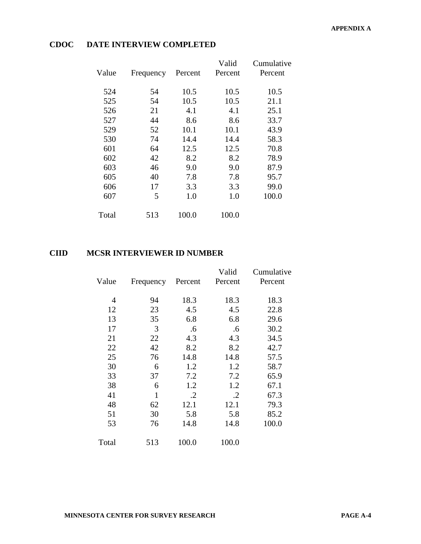|       |           |         | Valid   | Cumulative |
|-------|-----------|---------|---------|------------|
| Value | Frequency | Percent | Percent | Percent    |
|       |           |         |         |            |
| 524   | 54        | 10.5    | 10.5    | 10.5       |
| 525   | 54        | 10.5    | 10.5    | 21.1       |
| 526   | 21        | 4.1     | 4.1     | 25.1       |
| 527   | 44        | 8.6     | 8.6     | 33.7       |
| 529   | 52        | 10.1    | 10.1    | 43.9       |
| 530   | 74        | 14.4    | 14.4    | 58.3       |
| 601   | 64        | 12.5    | 12.5    | 70.8       |
| 602   | 42        | 8.2     | 8.2     | 78.9       |
| 603   | 46        | 9.0     | 9.0     | 87.9       |
| 605   | 40        | 7.8     | 7.8     | 95.7       |
| 606   | 17        | 3.3     | 3.3     | 99.0       |
| 607   | 5         | 1.0     | 1.0     | 100.0      |
|       |           |         |         |            |
| Total | 513       | 100.0   | 100.0   |            |
|       |           |         |         |            |

# **CDOC DATE INTERVIEW COMPLETED**

# **CIID MCSR INTERVIEWER ID NUMBER**

| Value | Frequency      | Percent                    | Valid<br>Percent | Cumulative<br>Percent |
|-------|----------------|----------------------------|------------------|-----------------------|
|       | $\overline{4}$ | 18.3<br>94                 | 18.3             | 18.3                  |
|       | 12             | 4.5<br>23                  | 4.5              | 22.8                  |
|       | 13             | 35<br>6.8                  | 6.8              | 29.6                  |
|       | 17             | 3<br>.6                    | .6               | 30.2                  |
|       | 21             | 22<br>4.3                  | 4.3              | 34.5                  |
|       | 22             | 42<br>8.2                  | 8.2              | 42.7                  |
|       | 25             | 76<br>14.8                 | 14.8             | 57.5                  |
|       | 30             | 6<br>1.2                   | 1.2              | 58.7                  |
|       | 33             | 7.2<br>37                  | 7.2              | 65.9                  |
|       | 38             | 6<br>1.2                   | 1.2              | 67.1                  |
|       | 41             | $\mathbf{1}$<br>$\cdot$ .2 | $\cdot$ .2       | 67.3                  |
|       | 48             | 62<br>12.1                 | 12.1             | 79.3                  |
|       | 51             | 30<br>5.8                  | 5.8              | 85.2                  |
|       | 53             | 76<br>14.8                 | 14.8             | 100.0                 |
| Total |                | 513<br>100.0               | 100.0            |                       |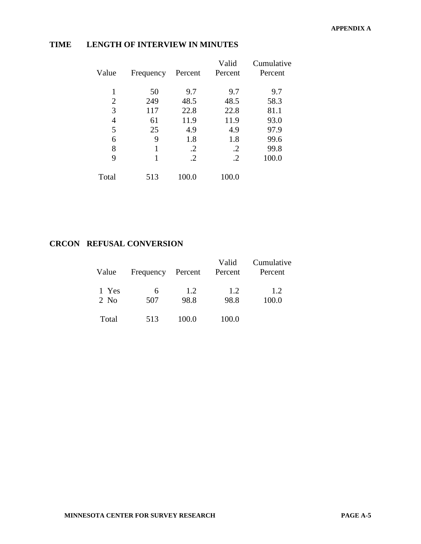| Value          | Frequency | Percent    | Valid<br>Percent | Cumulative<br>Percent |
|----------------|-----------|------------|------------------|-----------------------|
|                | 50        | 9.7        | 9.7              | 9.7                   |
| $\overline{2}$ | 249       | 48.5       | 48.5             | 58.3                  |
| 3              | 117       | 22.8       | 22.8             | 81.1                  |
| 4              | 61        | 11.9       | 11.9             | 93.0                  |
| 5              | 25        | 4.9        | 4.9              | 97.9                  |
| 6              | 9         | 1.8        | 1.8              | 99.6                  |
| 8              | 1         | $\cdot$    | .2               | 99.8                  |
| 9              | 1         | $\cdot$ .2 | $\cdot$          | 100.0                 |
| Total          | 513       | 100.0      | 100.0            |                       |

## **TIME LENGTH OF INTERVIEW IN MINUTES**

# **CRCON REFUSAL CONVERSION**

| Value         | Frequency Percent Percent |             | Valid       | Cumulative<br>Percent |
|---------------|---------------------------|-------------|-------------|-----------------------|
| 1 Yes<br>2 No | 6<br>507                  | 1.2<br>98.8 | 1.2<br>98.8 | 1.2<br>100.0          |
| Total         | 513                       | 100.0       | 100.0       |                       |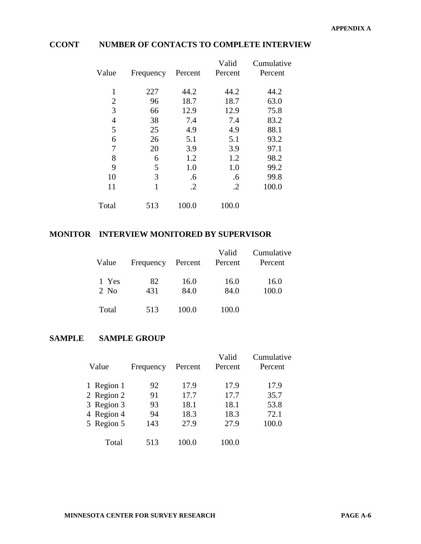# **CCONT NUMBER OF CONTACTS TO COMPLETE INTERVIEW**

| Value          | Frequency    | Percent    | Valid<br>Percent | Cumulative<br>Percent |
|----------------|--------------|------------|------------------|-----------------------|
| 1              | 227          | 44.2       | 44.2             | 44.2                  |
| $\overline{2}$ | 96           | 18.7       | 18.7             | 63.0                  |
| 3              | 66           | 12.9       | 12.9             | 75.8                  |
| 4              | 38           | 7.4        | 7.4              | 83.2                  |
| 5              | 25           | 4.9        | 4.9              | 88.1                  |
| 6              | 26           | 5.1        | 5.1              | 93.2                  |
| $\overline{7}$ | 20           | 3.9        | 3.9              | 97.1                  |
| 8              | 6            | 1.2        | 1.2              | 98.2                  |
| 9              | 5            | 1.0        | 1.0              | 99.2                  |
| 10             | 3            | .6         | .6               | 99.8                  |
| 11             | $\mathbf{1}$ | $\cdot$ .2 | $\cdot$ .2       | 100.0                 |
| Total          | 513          | 100.0      | 100.0            |                       |

# **MONITOR INTERVIEW MONITORED BY SUPERVISOR**

| Value         | Frequency Percent Percent |              | Valid        | Cumulative<br>Percent |
|---------------|---------------------------|--------------|--------------|-----------------------|
| 1 Yes<br>2 No | 82<br>431                 | 16.0<br>84.0 | 16.0<br>84.0 | 16.0<br>100.0         |
| Total         | 513                       | 100.0        | 100.0        |                       |

#### **SAMPLE SAMPLE GROUP**

| Value      | Frequency | Percent | Valid<br>Percent | Cumulative<br>Percent |
|------------|-----------|---------|------------------|-----------------------|
| 1 Region 1 | 92        | 17.9    | 17.9             | 17.9                  |
| 2 Region 2 | 91        | 17.7    | 17.7             | 35.7                  |
| 3 Region 3 | 93        | 18.1    | 18.1             | 53.8                  |
| 4 Region 4 | 94        | 18.3    | 18.3             | 72.1                  |
| 5 Region 5 | 143       | 27.9    | 27.9             | 100.0                 |
| Total      | 513       | 100.0   | .00.0            |                       |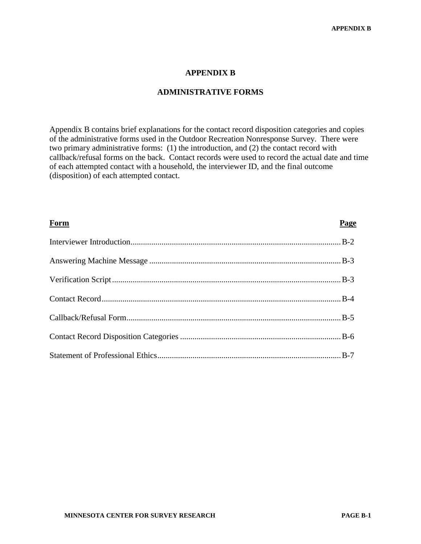#### **APPENDIX B**

#### **ADMINISTRATIVE FORMS**

Appendix B contains brief explanations for the contact record disposition categories and copies of the administrative forms used in the Outdoor Recreation Nonresponse Survey. There were two primary administrative forms: (1) the introduction, and (2) the contact record with callback/refusal forms on the back. Contact records were used to record the actual date and time of each attempted contact with a household, the interviewer ID, and the final outcome (disposition) of each attempted contact.

| Form | Page |
|------|------|
|      |      |
|      |      |
|      |      |
|      |      |
|      |      |
|      |      |
|      |      |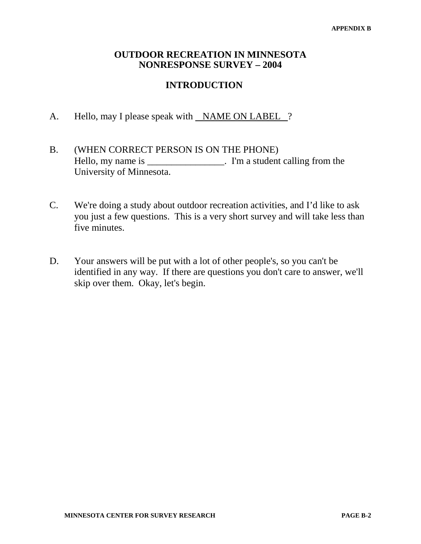# **OUTDOOR RECREATION IN MINNESOTA NONRESPONSE SURVEY – 2004**

# **INTRODUCTION**

- A. Hello, may I please speak with NAME ON LABEL ?
- B. (WHEN CORRECT PERSON IS ON THE PHONE) Hello, my name is \_\_\_\_\_\_\_\_\_\_\_\_\_\_\_\_\_. I'm a student calling from the University of Minnesota.
- C. We're doing a study about outdoor recreation activities, and I'd like to ask you just a few questions. This is a very short survey and will take less than five minutes.
- D. Your answers will be put with a lot of other people's, so you can't be identified in any way. If there are questions you don't care to answer, we'll skip over them. Okay, let's begin.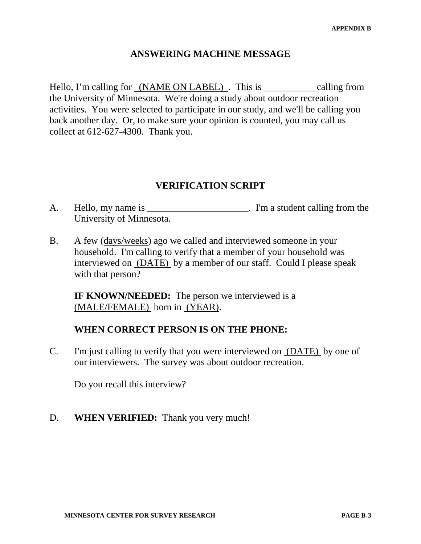# **ANSWERING MACHINE MESSAGE**

Hello, I'm calling for (NAME ON LABEL). This is <u>equalling</u> from the University of Minnesota. We're doing a study about outdoor recreation activities. You were selected to participate in our study, and we'll be calling you back another day. Or, to make sure your opinion is counted, you may call us collect at 612-627-4300. Thank you.

# **VERIFICATION SCRIPT**

- A. Hello, my name is \_\_\_\_\_\_\_\_\_\_\_\_\_\_\_\_\_\_\_\_\_. I'm a student calling from the University of Minnesota.
- B. A few (days/weeks) ago we called and interviewed someone in your household. I'm calling to verify that a member of your household was interviewed on (DATE) by a member of our staff. Could I please speak with that person?

**IF KNOWN/NEEDED:** The person we interviewed is a (MALE/FEMALE) born in (YEAR).

# **WHEN CORRECT PERSON IS ON THE PHONE:**

C. I'm just calling to verify that you were interviewed on (DATE) by one of our interviewers. The survey was about outdoor recreation.

Do you recall this interview?

D. **WHEN VERIFIED:** Thank you very much!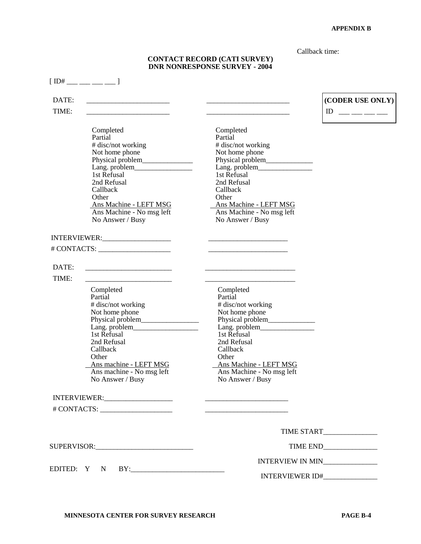Callback time:

#### **CONTACT RECORD (CATI SURVEY) DNR NONRESPONSE SURVEY - 2004**

|                | $[ID#$ ___ __ __ __ __ ]                                                                                                                                                                                    |                                                                                                                                                                                            |                                  |
|----------------|-------------------------------------------------------------------------------------------------------------------------------------------------------------------------------------------------------------|--------------------------------------------------------------------------------------------------------------------------------------------------------------------------------------------|----------------------------------|
| DATE:<br>TIME: |                                                                                                                                                                                                             |                                                                                                                                                                                            | (CODER USE ONLY)<br>$\mathbb{D}$ |
|                | Completed<br>Partial<br># disc/not working<br>Not home phone<br>Lang. problem<br>1st Refusal<br>2nd Refusal<br>Callback<br>Other<br>Ans Machine - LEFT MSG<br>Ans Machine - No msg left<br>No Answer / Busy | Completed<br>Partial<br># disc/not working<br>Not home phone<br>1st Refusal<br>2nd Refusal<br>Callback<br>Other<br>Ans Machine - LEFT MSG<br>Ans Machine - No msg left<br>No Answer / Busy |                                  |
|                |                                                                                                                                                                                                             |                                                                                                                                                                                            |                                  |
|                |                                                                                                                                                                                                             |                                                                                                                                                                                            |                                  |
| DATE:          |                                                                                                                                                                                                             |                                                                                                                                                                                            |                                  |
| TIME:          | Completed<br>Partial<br># disc/not working<br>Not home phone<br>1st Refusal<br>2nd Refusal<br>Callback<br>Other<br>Ans machine - LEFT MSG<br>Ans machine - No msg left<br>No Answer / Busy                  | Completed<br>Partial<br># disc/not working<br>Not home phone<br>1st Refusal<br>2nd Refusal<br>Callback<br>Other<br>Ans Machine - LEFT MSG<br>Ans Machine - No msg left<br>No Answer / Busy |                                  |
|                |                                                                                                                                                                                                             |                                                                                                                                                                                            |                                  |
|                |                                                                                                                                                                                                             | the control of the control of the control of the control of the control of                                                                                                                 |                                  |
|                |                                                                                                                                                                                                             |                                                                                                                                                                                            | TIME START                       |
|                |                                                                                                                                                                                                             |                                                                                                                                                                                            |                                  |
|                |                                                                                                                                                                                                             | INTERVIEW IN MIN_______________                                                                                                                                                            |                                  |
|                | EDITED: Y N BY:                                                                                                                                                                                             | INTERVIEWER ID#_______________                                                                                                                                                             |                                  |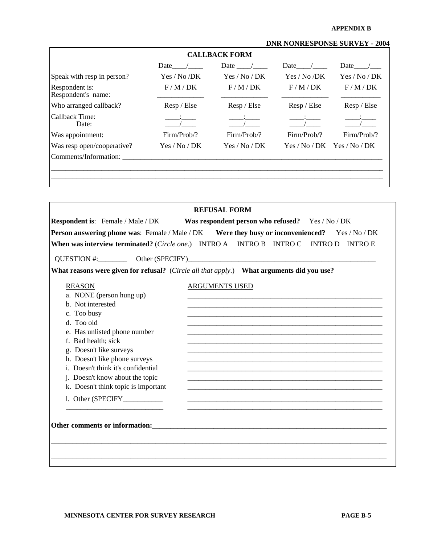#### **APPENDIX B**

#### **DNR NONRESPONSE SURVEY - 2004**

|                                      |               | <b>CALLBACK FORM</b> |              |                               |
|--------------------------------------|---------------|----------------------|--------------|-------------------------------|
|                                      | Date          | Date $\sqrt{ }$      | Date         | Date                          |
| Speak with resp in person?           | Yes / No /DK  | Yes / No / DK        | Yes / No /DK | Yes / No / DK                 |
| Respondent is:<br>Respondent's name: | F/M/DK        | F/M/DK               | F/M/DK       | F/M/DK                        |
| Who arranged callback?               | Resp / Else   | Resp / Else          | Resp / Else  | Resp / Else                   |
| Callback Time:<br>Date:              |               |                      |              |                               |
| Was appointment:                     | Firm/Prob/?   | Firm/Prob/?          | Firm/Prob/?  | Firm/Prob/?                   |
| Was resp open/cooperative?           | Yes / No / DK | Yes / No / DK        |              | $Yes / No / DK$ Yes / No / DK |
| Comments/Information:                |               |                      |              |                               |

|                                     | <b>REFUSAL FORM</b>                                                                                   |
|-------------------------------------|-------------------------------------------------------------------------------------------------------|
|                                     | Respondent is: Female / Male / DK Was respondent person who refused? Yes / No / DK                    |
|                                     | <b>Person answering phone was:</b> Female / Male / DK Were they busy or inconvenienced? Yes / No / DK |
|                                     | When was interview terminated? (Circle one.) INTRO A INTRO B INTRO C INTRO D INTRO E                  |
|                                     |                                                                                                       |
|                                     | QUESTION #: Other (SPECIFY)                                                                           |
|                                     | What reasons were given for refusal? (Circle all that apply.) What arguments did you use?             |
| <b>REASON</b>                       | <b>ARGUMENTS USED</b>                                                                                 |
| a. NONE (person hung up)            |                                                                                                       |
| b. Not interested                   |                                                                                                       |
| c. Too busy                         |                                                                                                       |
| d. Too old                          |                                                                                                       |
| e. Has unlisted phone number        |                                                                                                       |
| f. Bad health; sick                 |                                                                                                       |
| g. Doesn't like surveys             |                                                                                                       |
| h. Doesn't like phone surveys       |                                                                                                       |
| i. Doesn't think it's confidential  |                                                                                                       |
| j. Doesn't know about the topic     |                                                                                                       |
| k. Doesn't think topic is important |                                                                                                       |
|                                     |                                                                                                       |
|                                     |                                                                                                       |
|                                     |                                                                                                       |
|                                     |                                                                                                       |
|                                     |                                                                                                       |
|                                     |                                                                                                       |
|                                     |                                                                                                       |
|                                     |                                                                                                       |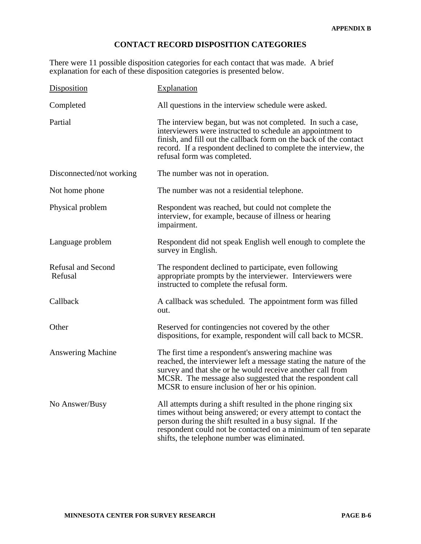## **CONTACT RECORD DISPOSITION CATEGORIES**

There were 11 possible disposition categories for each contact that was made. A brief explanation for each of these disposition categories is presented below.

| Disposition                          | Explanation                                                                                                                                                                                                                                                                                                   |  |
|--------------------------------------|---------------------------------------------------------------------------------------------------------------------------------------------------------------------------------------------------------------------------------------------------------------------------------------------------------------|--|
| Completed                            | All questions in the interview schedule were asked.                                                                                                                                                                                                                                                           |  |
| Partial                              | The interview began, but was not completed. In such a case,<br>interviewers were instructed to schedule an appointment to<br>finish, and fill out the callback form on the back of the contact<br>record. If a respondent declined to complete the interview, the<br>refusal form was completed.              |  |
| Disconnected/not working             | The number was not in operation.                                                                                                                                                                                                                                                                              |  |
| Not home phone                       | The number was not a residential telephone.                                                                                                                                                                                                                                                                   |  |
| Physical problem                     | Respondent was reached, but could not complete the<br>interview, for example, because of illness or hearing<br>impairment.                                                                                                                                                                                    |  |
| Language problem                     | Respondent did not speak English well enough to complete the<br>survey in English.                                                                                                                                                                                                                            |  |
| <b>Refusal and Second</b><br>Refusal | The respondent declined to participate, even following<br>appropriate prompts by the interviewer. Interviewers were<br>instructed to complete the refusal form.                                                                                                                                               |  |
| Callback                             | A callback was scheduled. The appointment form was filled<br>out.                                                                                                                                                                                                                                             |  |
| Other                                | Reserved for contingencies not covered by the other<br>dispositions, for example, respondent will call back to MCSR.                                                                                                                                                                                          |  |
| <b>Answering Machine</b>             | The first time a respondent's answering machine was<br>reached, the interviewer left a message stating the nature of the<br>survey and that she or he would receive another call from<br>MCSR. The message also suggested that the respondent call<br>MCSR to ensure inclusion of her or his opinion.         |  |
| No Answer/Busy                       | All attempts during a shift resulted in the phone ringing six<br>times without being answered; or every attempt to contact the<br>person during the shift resulted in a busy signal. If the<br>respondent could not be contacted on a minimum of ten separate<br>shifts, the telephone number was eliminated. |  |